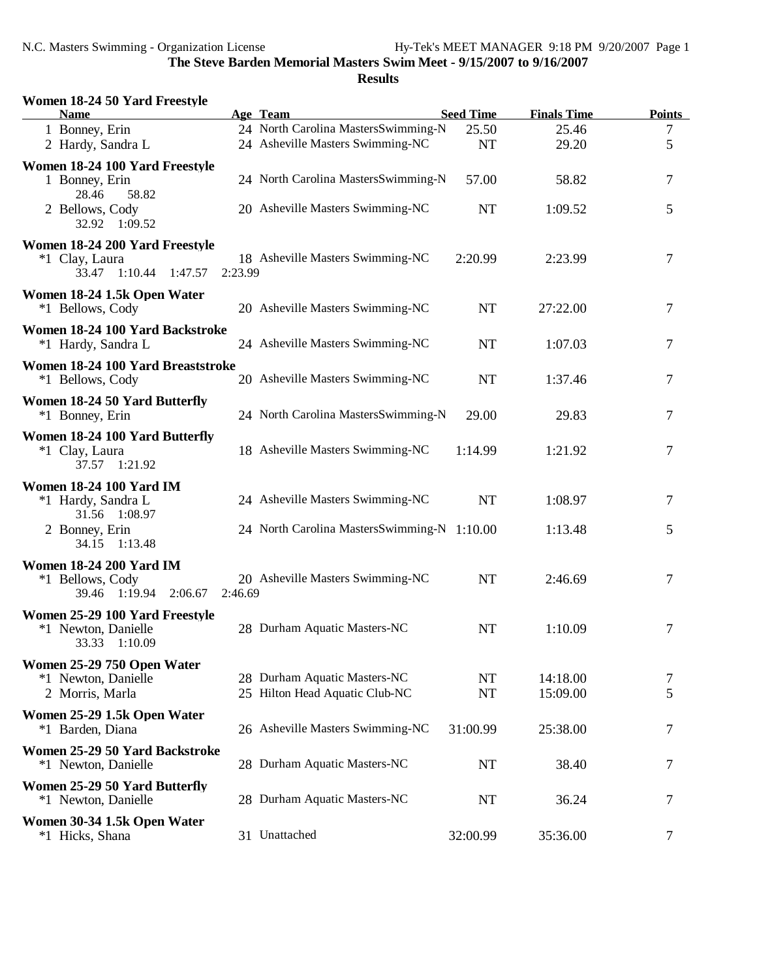| Women 18-24 50 Yard Freestyle<br><b>Name</b>                                 |         | Age Team                                                       | <b>Seed Time</b>       | <b>Finals Time</b>   | <b>Points</b>  |
|------------------------------------------------------------------------------|---------|----------------------------------------------------------------|------------------------|----------------------|----------------|
| 1 Bonney, Erin                                                               |         | 24 North Carolina MastersSwimming-N                            | 25.50                  | 25.46                | $\overline{7}$ |
| 2 Hardy, Sandra L                                                            |         | 24 Asheville Masters Swimming-NC                               | <b>NT</b>              | 29.20                | 5              |
| Women 18-24 100 Yard Freestyle<br>1 Bonney, Erin<br>28.46<br>58.82           |         | 24 North Carolina MastersSwimming-N                            | 57.00                  | 58.82                | 7              |
| 2 Bellows, Cody<br>32.92 1:09.52                                             |         | 20 Asheville Masters Swimming-NC                               | <b>NT</b>              | 1:09.52              | 5              |
| Women 18-24 200 Yard Freestyle<br>*1 Clay, Laura<br>33.47 1:10.44<br>1:47.57 | 2:23.99 | 18 Asheville Masters Swimming-NC                               | 2:20.99                | 2:23.99              | 7              |
| Women 18-24 1.5k Open Water<br>*1 Bellows, Cody                              |         | 20 Asheville Masters Swimming-NC                               | <b>NT</b>              | 27:22.00             | 7              |
| Women 18-24 100 Yard Backstroke<br>*1 Hardy, Sandra L                        |         | 24 Asheville Masters Swimming-NC                               | <b>NT</b>              | 1:07.03              | 7              |
| Women 18-24 100 Yard Breaststroke<br>*1 Bellows, Cody                        |         | 20 Asheville Masters Swimming-NC                               | <b>NT</b>              | 1:37.46              | 7              |
| Women 18-24 50 Yard Butterfly<br>*1 Bonney, Erin                             |         | 24 North Carolina MastersSwimming-N                            | 29.00                  | 29.83                | 7              |
| Women 18-24 100 Yard Butterfly<br>*1 Clay, Laura<br>37.57 1:21.92            |         | 18 Asheville Masters Swimming-NC                               | 1:14.99                | 1:21.92              | 7              |
| <b>Women 18-24 100 Yard IM</b><br>*1 Hardy, Sandra L                         |         | 24 Asheville Masters Swimming-NC                               | <b>NT</b>              | 1:08.97              | 7              |
| 31.56 1:08.97<br>2 Bonney, Erin<br>34.15 1:13.48                             |         | 24 North Carolina MastersSwimming-N 1:10.00                    |                        | 1:13.48              | 5              |
| <b>Women 18-24 200 Yard IM</b><br>*1 Bellows, Cody<br>39.46 1:19.94 2:06.67  | 2:46.69 | 20 Asheville Masters Swimming-NC                               | <b>NT</b>              | 2:46.69              | 7              |
| Women 25-29 100 Yard Freestyle<br>*1 Newton, Danielle<br>33.33 1:10.09       |         | 28 Durham Aquatic Masters-NC                                   | <b>NT</b>              | 1:10.09              | 7              |
| Women 25-29 750 Open Water<br>*1 Newton, Danielle<br>2 Morris, Marla         |         | 28 Durham Aquatic Masters-NC<br>25 Hilton Head Aquatic Club-NC | <b>NT</b><br><b>NT</b> | 14:18.00<br>15:09.00 | 7<br>5         |
| Women 25-29 1.5k Open Water<br>*1 Barden, Diana                              |         | 26 Asheville Masters Swimming-NC                               | 31:00.99               | 25:38.00             | 7              |
| Women 25-29 50 Yard Backstroke<br>*1 Newton, Danielle                        |         | 28 Durham Aquatic Masters-NC                                   | <b>NT</b>              | 38.40                | 7              |
| Women 25-29 50 Yard Butterfly<br>*1 Newton, Danielle                         |         | 28 Durham Aquatic Masters-NC                                   | <b>NT</b>              | 36.24                | 7              |
| Women 30-34 1.5k Open Water<br>*1 Hicks, Shana                               |         | 31 Unattached                                                  | 32:00.99               | 35:36.00             | 7              |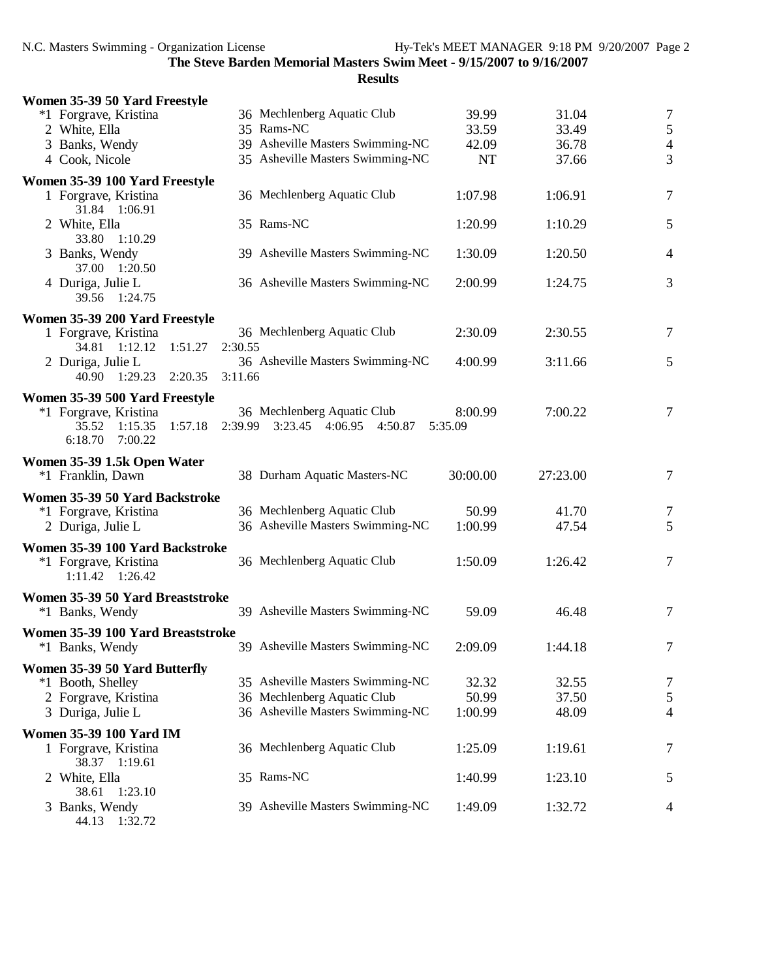| Women 35-39 50 Yard Freestyle                                                       |                                                                |                    |          |                |
|-------------------------------------------------------------------------------------|----------------------------------------------------------------|--------------------|----------|----------------|
| *1 Forgrave, Kristina                                                               | 36 Mechlenberg Aquatic Club                                    | 39.99              | 31.04    | $\overline{7}$ |
| 2 White, Ella                                                                       | 35 Rams-NC                                                     | 33.59              | 33.49    | 5              |
| 3 Banks, Wendy                                                                      | 39 Asheville Masters Swimming-NC                               | 42.09              | 36.78    | $\overline{4}$ |
| 4 Cook, Nicole                                                                      | 35 Asheville Masters Swimming-NC                               | <b>NT</b>          | 37.66    | 3              |
| Women 35-39 100 Yard Freestyle                                                      |                                                                |                    |          |                |
| 1 Forgrave, Kristina<br>31.84 1:06.91                                               | 36 Mechlenberg Aquatic Club                                    | 1:07.98            | 1:06.91  | $\tau$         |
| 2 White, Ella<br>33.80 1:10.29                                                      | 35 Rams-NC                                                     | 1:20.99            | 1:10.29  | 5              |
| 3 Banks, Wendy<br>37.00 1:20.50                                                     | 39 Asheville Masters Swimming-NC                               | 1:30.09            | 1:20.50  | $\overline{4}$ |
| 4 Duriga, Julie L<br>39.56 1:24.75                                                  | 36 Asheville Masters Swimming-NC                               | 2:00.99            | 1:24.75  | 3              |
| Women 35-39 200 Yard Freestyle                                                      |                                                                |                    |          |                |
| 1 Forgrave, Kristina<br>1:51.27<br>34.81 1:12.12                                    | 36 Mechlenberg Aquatic Club<br>2:30.55                         | 2:30.09            | 2:30.55  | 7              |
| 2 Duriga, Julie L<br>40.90 1:29.23 2:20.35                                          | 36 Asheville Masters Swimming-NC<br>3:11.66                    | 4:00.99            | 3:11.66  | 5              |
| Women 35-39 500 Yard Freestyle                                                      |                                                                |                    |          |                |
| *1 Forgrave, Kristina<br>35.52<br>1:15.35<br>1:57.18<br>6:18.70<br>7:00.22          | 36 Mechlenberg Aquatic Club<br>2:39.99 3:23.45 4:06.95 4:50.87 | 8:00.99<br>5:35.09 | 7:00.22  | 7              |
| Women 35-39 1.5k Open Water                                                         |                                                                |                    |          |                |
| *1 Franklin, Dawn                                                                   | 38 Durham Aquatic Masters-NC                                   | 30:00.00           | 27:23.00 | 7              |
| Women 35-39 50 Yard Backstroke                                                      |                                                                |                    |          |                |
| *1 Forgrave, Kristina                                                               | 36 Mechlenberg Aquatic Club                                    | 50.99              | 41.70    | 7              |
| 2 Duriga, Julie L                                                                   | 36 Asheville Masters Swimming-NC                               | 1:00.99            | 47.54    | 5              |
| Women 35-39 100 Yard Backstroke<br>*1 Forgrave, Kristina<br>$1:11.42 \quad 1:26.42$ | 36 Mechlenberg Aquatic Club                                    | 1:50.09            | 1:26.42  | $\overline{7}$ |
| Women 35-39 50 Yard Breaststroke                                                    |                                                                |                    |          |                |
| *1 Banks, Wendy                                                                     | 39 Asheville Masters Swimming-NC                               | 59.09              | 46.48    | $\overline{7}$ |
| Women 35-39 100 Yard Breaststroke<br>*1 Banks, Wendy                                | 39 Asheville Masters Swimming-NC                               | 2:09.09            | 1:44.18  |                |
| Women 35-39 50 Yard Butterfly                                                       |                                                                |                    |          |                |
| *1 Booth, Shelley                                                                   | 35 Asheville Masters Swimming-NC                               | 32.32              | 32.55    | 7              |
| 2 Forgrave, Kristina                                                                | 36 Mechlenberg Aquatic Club                                    | 50.99              | 37.50    | $\sqrt{5}$     |
| 3 Duriga, Julie L                                                                   | 36 Asheville Masters Swimming-NC                               | 1:00.99            | 48.09    | $\overline{4}$ |
| <b>Women 35-39 100 Yard IM</b>                                                      |                                                                |                    |          |                |
| 1 Forgrave, Kristina<br>38.37 1:19.61                                               | 36 Mechlenberg Aquatic Club                                    | 1:25.09            | 1:19.61  | 7              |
| 2 White, Ella<br>38.61 1:23.10                                                      | 35 Rams-NC                                                     | 1:40.99            | 1:23.10  | 5              |
| 3 Banks, Wendy<br>44.13 1:32.72                                                     | 39 Asheville Masters Swimming-NC                               | 1:49.09            | 1:32.72  | 4              |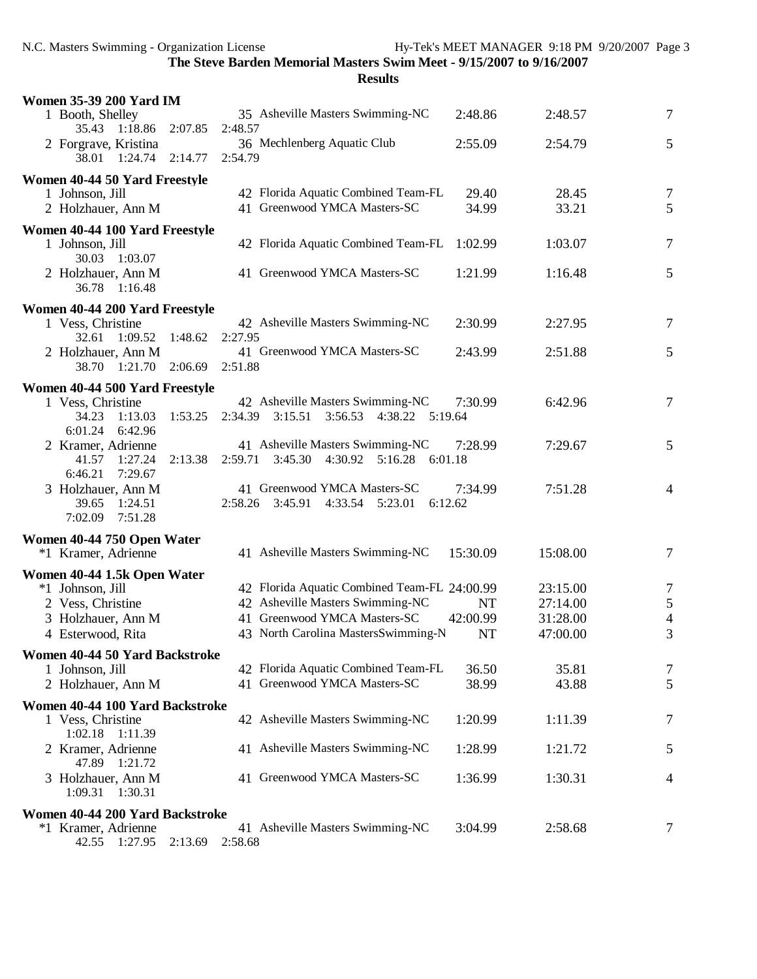| <b>Women 35-39 200 Yard IM</b>                |                    |                                                                    |                    |          |                          |
|-----------------------------------------------|--------------------|--------------------------------------------------------------------|--------------------|----------|--------------------------|
| 1 Booth, Shelley<br>35.43 1:18.86             | 2:07.85<br>2:48.57 | 35 Asheville Masters Swimming-NC                                   | 2:48.86            | 2:48.57  | $\tau$                   |
| 2 Forgrave, Kristina<br>38.01 1:24.74 2:14.77 | 2:54.79            | 36 Mechlenberg Aquatic Club                                        | 2:55.09            | 2:54.79  | 5                        |
| Women 40-44 50 Yard Freestyle                 |                    |                                                                    |                    |          |                          |
| 1 Johnson, Jill                               |                    | 42 Florida Aquatic Combined Team-FL                                | 29.40              | 28.45    | $\overline{7}$           |
| 2 Holzhauer, Ann M                            |                    | 41 Greenwood YMCA Masters-SC                                       | 34.99              | 33.21    | 5                        |
| Women 40-44 100 Yard Freestyle                |                    |                                                                    |                    |          |                          |
| 1 Johnson, Jill<br>30.03<br>1:03.07           |                    | 42 Florida Aquatic Combined Team-FL                                | 1:02.99            | 1:03.07  | 7                        |
| 2 Holzhauer, Ann M<br>36.78 1:16.48           |                    | 41 Greenwood YMCA Masters-SC                                       | 1:21.99            | 1:16.48  | 5                        |
| Women 40-44 200 Yard Freestyle                |                    |                                                                    |                    |          |                          |
| 1 Vess, Christine                             |                    | 42 Asheville Masters Swimming-NC                                   | 2:30.99            | 2:27.95  | 7                        |
| 32.61 1:09.52                                 | 1:48.62<br>2:27.95 |                                                                    |                    |          |                          |
| 2 Holzhauer, Ann M                            |                    | 41 Greenwood YMCA Masters-SC                                       | 2:43.99            | 2:51.88  | 5                        |
| 38.70 1:21.70 2:06.69                         | 2:51.88            |                                                                    |                    |          |                          |
| Women 40-44 500 Yard Freestyle                |                    |                                                                    |                    |          |                          |
| 1 Vess, Christine                             |                    | 42 Asheville Masters Swimming-NC                                   | 7:30.99            | 6:42.96  | $\tau$                   |
| 34.23<br>1:13.03                              | 1:53.25<br>2:34.39 | 3:15.51<br>3:56.53<br>4:38.22<br>5:19.64                           |                    |          |                          |
| 6:01.24<br>6:42.96                            |                    |                                                                    |                    |          |                          |
| 2 Kramer, Adrienne                            |                    | 41 Asheville Masters Swimming-NC                                   | 7:28.99            | 7:29.67  | 5                        |
| 41.57 1:27.24                                 | 2:13.38            | 2:59.71 3:45.30 4:30.92 5:16.28<br>6:01.18                         |                    |          |                          |
| 6:46.21<br>7:29.67                            |                    |                                                                    |                    |          |                          |
| 3 Holzhauer, Ann M<br>39.65 1:24.51           |                    | 41 Greenwood YMCA Masters-SC<br>2:58.26 3:45.91<br>4:33.54 5:23.01 | 7:34.99<br>6:12.62 | 7:51.28  | $\overline{4}$           |
| 7:02.09<br>7:51.28                            |                    |                                                                    |                    |          |                          |
|                                               |                    |                                                                    |                    |          |                          |
| Women 40-44 750 Open Water                    |                    |                                                                    |                    |          |                          |
| *1 Kramer, Adrienne                           |                    | 41 Asheville Masters Swimming-NC                                   | 15:30.09           | 15:08.00 | 7                        |
| Women 40-44 1.5k Open Water                   |                    |                                                                    |                    |          |                          |
| *1 Johnson, Jill                              |                    | 42 Florida Aquatic Combined Team-FL 24:00.99                       |                    | 23:15.00 | 7                        |
| 2 Vess, Christine                             |                    | 42 Asheville Masters Swimming-NC                                   | <b>NT</b>          | 27:14.00 | 5                        |
| 3 Holzhauer, Ann M                            |                    | 41 Greenwood YMCA Masters-SC                                       | 42:00.99           | 31:28.00 | $\overline{\mathcal{L}}$ |
| 4 Esterwood, Rita                             |                    | 43 North Carolina MastersSwimming-N                                | <b>NT</b>          | 47:00.00 | 3                        |
| Women 40-44 50 Yard Backstroke                |                    |                                                                    |                    |          |                          |
| 1 Johnson, Jill                               |                    | 42 Florida Aquatic Combined Team-FL                                | 36.50              | 35.81    | 7                        |
| 2 Holzhauer, Ann M                            |                    | 41 Greenwood YMCA Masters-SC                                       | 38.99              | 43.88    | 5                        |
| Women 40-44 100 Yard Backstroke               |                    |                                                                    |                    |          |                          |
| 1 Vess, Christine                             |                    | 42 Asheville Masters Swimming-NC                                   | 1:20.99            | 1:11.39  | 7                        |
| 1:02.18 1:11.39                               |                    |                                                                    |                    |          |                          |
| 2 Kramer, Adrienne                            |                    | 41 Asheville Masters Swimming-NC                                   | 1:28.99            | 1:21.72  | 5                        |
| 47.89 1:21.72                                 |                    |                                                                    |                    |          |                          |
| 3 Holzhauer, Ann M                            |                    | 41 Greenwood YMCA Masters-SC                                       | 1:36.99            | 1:30.31  | 4                        |
| 1:09.31 1:30.31                               |                    |                                                                    |                    |          |                          |
| Women 40-44 200 Yard Backstroke               |                    |                                                                    |                    |          |                          |
| *1 Kramer, Adrienne                           |                    | 41 Asheville Masters Swimming-NC                                   | 3:04.99            | 2:58.68  | 7                        |
| 1:27.95<br>42.55                              | 2:13.69<br>2:58.68 |                                                                    |                    |          |                          |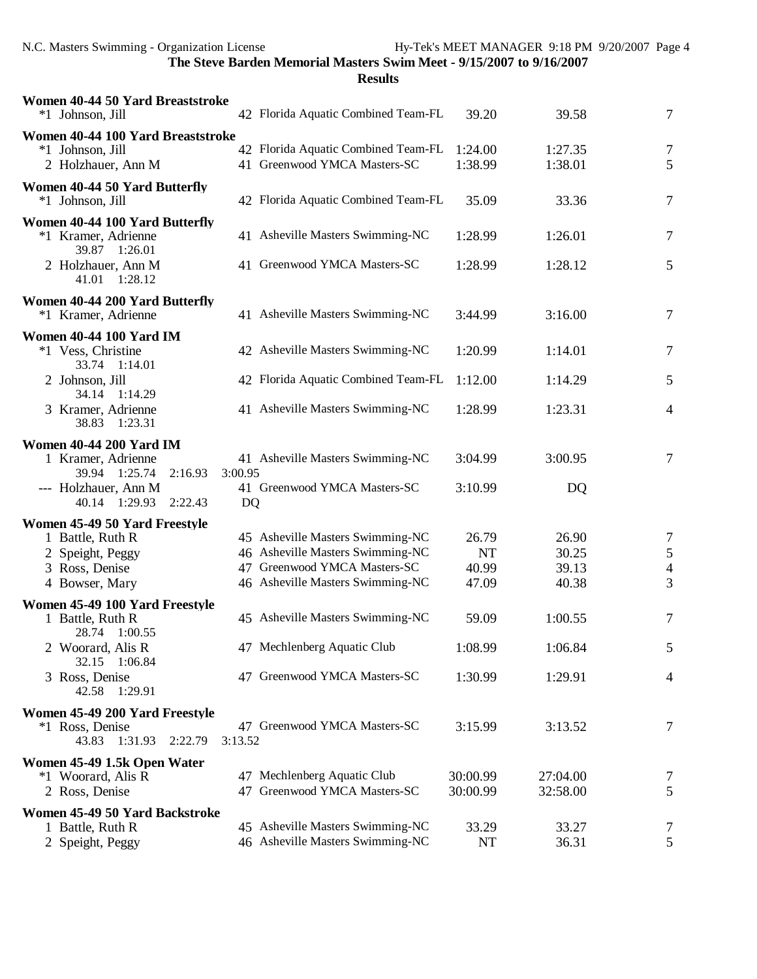| Women 40-44 50 Yard Breaststroke<br>*1 Johnson, Jill                             | 42 Florida Aquatic Combined Team-FL                                 | 39.20                | 39.58                | $\tau$              |
|----------------------------------------------------------------------------------|---------------------------------------------------------------------|----------------------|----------------------|---------------------|
| Women 40-44 100 Yard Breaststroke<br>*1 Johnson, Jill<br>2 Holzhauer, Ann M      | 42 Florida Aquatic Combined Team-FL<br>41 Greenwood YMCA Masters-SC | 1:24.00<br>1:38.99   | 1:27.35<br>1:38.01   | $\overline{7}$<br>5 |
| Women 40-44 50 Yard Butterfly<br>*1 Johnson, Jill                                | 42 Florida Aquatic Combined Team-FL                                 | 35.09                | 33.36                | $\tau$              |
| Women 40-44 100 Yard Butterfly<br>*1 Kramer, Adrienne                            | 41 Asheville Masters Swimming-NC                                    | 1:28.99              | 1:26.01              | $\tau$              |
| 39.87 1:26.01<br>2 Holzhauer, Ann M<br>41.01 1:28.12                             | 41 Greenwood YMCA Masters-SC                                        | 1:28.99              | 1:28.12              | 5                   |
| Women 40-44 200 Yard Butterfly<br>*1 Kramer, Adrienne                            | 41 Asheville Masters Swimming-NC                                    | 3:44.99              | 3:16.00              | $\tau$              |
| <b>Women 40-44 100 Yard IM</b><br>*1 Vess, Christine                             | 42 Asheville Masters Swimming-NC                                    | 1:20.99              | 1:14.01              | $\tau$              |
| 33.74 1:14.01<br>2 Johnson, Jill                                                 | 42 Florida Aquatic Combined Team-FL                                 | 1:12.00              | 1:14.29              | 5                   |
| 34.14 1:14.29<br>3 Kramer, Adrienne<br>38.83 1:23.31                             | 41 Asheville Masters Swimming-NC                                    | 1:28.99              | 1:23.31              | 4                   |
| <b>Women 40-44 200 Yard IM</b><br>1 Kramer, Adrienne<br>39.94 1:25.74<br>2:16.93 | 41 Asheville Masters Swimming-NC<br>3:00.95                         | 3:04.99              | 3:00.95              | $\tau$              |
| --- Holzhauer, Ann M<br>40.14 1:29.93<br>2:22.43                                 | 41 Greenwood YMCA Masters-SC<br>DQ                                  | 3:10.99              | DQ                   |                     |
| Women 45-49 50 Yard Freestyle                                                    | 45 Asheville Masters Swimming-NC                                    | 26.79                |                      |                     |
| 1 Battle, Ruth R                                                                 | 46 Asheville Masters Swimming-NC                                    | <b>NT</b>            | 26.90<br>30.25       | 7                   |
| 2 Speight, Peggy<br>3 Ross, Denise                                               | 47 Greenwood YMCA Masters-SC                                        | 40.99                | 39.13                | $\mathfrak s$       |
| 4 Bowser, Mary                                                                   | 46 Asheville Masters Swimming-NC                                    | 47.09                | 40.38                | $\overline{4}$<br>3 |
| Women 45-49 100 Yard Freestyle                                                   |                                                                     |                      |                      |                     |
| 1 Battle, Ruth R<br>28.74 1:00.55                                                | 45 Asheville Masters Swimming-NC                                    | 59.09                | 1:00.55              | 7                   |
| 2 Woorard, Alis R<br>32.15 1:06.84                                               | 47 Mechlenberg Aquatic Club                                         | 1:08.99              | 1:06.84              |                     |
| 3 Ross, Denise<br>42.58 1:29.91                                                  | 47 Greenwood YMCA Masters-SC                                        | 1:30.99              | 1:29.91              | 4                   |
| Women 45-49 200 Yard Freestyle                                                   |                                                                     |                      |                      |                     |
| *1 Ross, Denise<br>43.83 1:31.93<br>2:22.79                                      | 47 Greenwood YMCA Masters-SC<br>3:13.52                             | 3:15.99              | 3:13.52              | 7                   |
| Women 45-49 1.5k Open Water                                                      |                                                                     |                      |                      |                     |
| *1 Woorard, Alis R<br>2 Ross, Denise                                             | 47 Mechlenberg Aquatic Club<br>47 Greenwood YMCA Masters-SC         | 30:00.99<br>30:00.99 | 27:04.00<br>32:58.00 | 7<br>5              |
| Women 45-49 50 Yard Backstroke                                                   |                                                                     |                      |                      |                     |
| 1 Battle, Ruth R                                                                 | 45 Asheville Masters Swimming-NC                                    | 33.29                | 33.27                | 7                   |
| 2 Speight, Peggy                                                                 | 46 Asheville Masters Swimming-NC                                    | <b>NT</b>            | 36.31                | 5                   |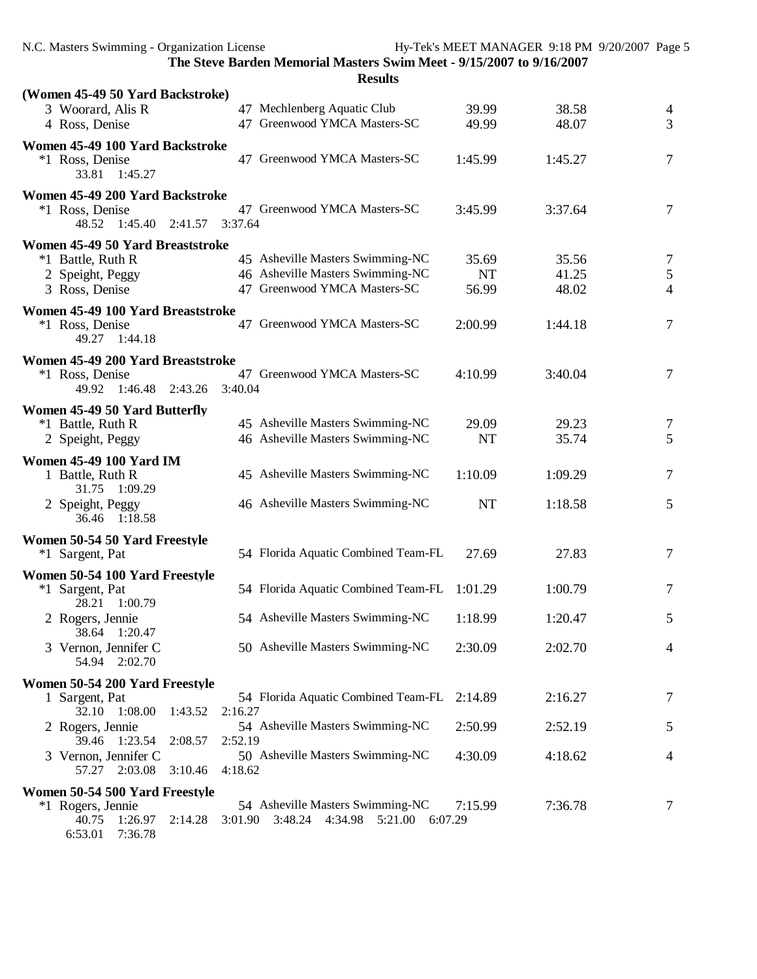| Results |
|---------|
|---------|

| (Women 45-49 50 Yard Backstroke)                                                               |           |         |                                  |
|------------------------------------------------------------------------------------------------|-----------|---------|----------------------------------|
| 47 Mechlenberg Aquatic Club<br>3 Woorard, Alis R                                               | 39.99     | 38.58   | $\overline{4}$                   |
| 47 Greenwood YMCA Masters-SC<br>4 Ross, Denise                                                 | 49.99     | 48.07   | 3                                |
| Women 45-49 100 Yard Backstroke                                                                |           |         |                                  |
| 47 Greenwood YMCA Masters-SC<br>*1 Ross, Denise<br>33.81 1:45.27                               | 1:45.99   | 1:45.27 | $\overline{7}$                   |
| Women 45-49 200 Yard Backstroke                                                                |           |         |                                  |
| 47 Greenwood YMCA Masters-SC<br>*1 Ross, Denise<br>$1:45.40$ $2:41.57$<br>3:37.64<br>48.52     | 3:45.99   | 3:37.64 | $\overline{7}$                   |
| Women 45-49 50 Yard Breaststroke                                                               |           |         |                                  |
| 45 Asheville Masters Swimming-NC<br>*1 Battle, Ruth R                                          | 35.69     | 35.56   | 7                                |
| 46 Asheville Masters Swimming-NC<br>2 Speight, Peggy<br>47 Greenwood YMCA Masters-SC           | <b>NT</b> | 41.25   | $\mathfrak{S}$<br>$\overline{4}$ |
| 3 Ross, Denise                                                                                 | 56.99     | 48.02   |                                  |
| Women 45-49 100 Yard Breaststroke<br>47 Greenwood YMCA Masters-SC                              | 2:00.99   | 1:44.18 | $\overline{7}$                   |
| *1 Ross, Denise<br>49.27 1:44.18                                                               |           |         |                                  |
| Women 45-49 200 Yard Breaststroke                                                              |           |         |                                  |
| 47 Greenwood YMCA Masters-SC<br>*1 Ross, Denise                                                | 4:10.99   | 3:40.04 | 7                                |
| 49.92 1:46.48 2:43.26<br>3:40.04                                                               |           |         |                                  |
| Women 45-49 50 Yard Butterfly                                                                  |           |         |                                  |
| 45 Asheville Masters Swimming-NC<br>*1 Battle, Ruth R                                          | 29.09     | 29.23   | 7                                |
| 46 Asheville Masters Swimming-NC<br>2 Speight, Peggy                                           | <b>NT</b> | 35.74   | 5                                |
| <b>Women 45-49 100 Yard IM</b>                                                                 |           |         |                                  |
| 45 Asheville Masters Swimming-NC<br>1 Battle, Ruth R<br>31.75 1:09.29                          | 1:10.09   | 1:09.29 | $\overline{7}$                   |
| 46 Asheville Masters Swimming-NC<br>2 Speight, Peggy                                           | <b>NT</b> | 1:18.58 | 5                                |
| 36.46 1:18.58                                                                                  |           |         |                                  |
| Women 50-54 50 Yard Freestyle                                                                  |           |         |                                  |
| 54 Florida Aquatic Combined Team-FL<br>*1 Sargent, Pat                                         | 27.69     | 27.83   | 7                                |
| Women 50-54 100 Yard Freestyle                                                                 |           |         |                                  |
| 54 Florida Aquatic Combined Team-FL<br>*1 Sargent, Pat                                         | 1:01.29   | 1:00.79 | 7                                |
| 28.21 1:00.79                                                                                  |           |         |                                  |
| 54 Asheville Masters Swimming-NC<br>2 Rogers, Jennie<br>38.64 1:20.47                          | 1:18.99   | 1:20.47 | 5                                |
| 50 Asheville Masters Swimming-NC<br>3 Vernon, Jennifer C                                       | 2:30.09   | 2:02.70 | $\overline{4}$                   |
| 54.94 2:02.70                                                                                  |           |         |                                  |
| Women 50-54 200 Yard Freestyle                                                                 |           |         |                                  |
| 54 Florida Aquatic Combined Team-FL<br>1 Sargent, Pat                                          | 2:14.89   | 2:16.27 | $\overline{7}$                   |
| 2:16.27<br>32.10<br>1:08.00<br>1:43.52                                                         |           |         |                                  |
| 54 Asheville Masters Swimming-NC<br>2 Rogers, Jennie<br>39.46<br>1:23.54<br>2:52.19<br>2:08.57 | 2:50.99   | 2:52.19 | 5                                |
| 50 Asheville Masters Swimming-NC<br>3 Vernon, Jennifer C                                       | 4:30.09   | 4:18.62 | $\overline{4}$                   |
| 57.27 2:03.08<br>3:10.46<br>4:18.62                                                            |           |         |                                  |
| Women 50-54 500 Yard Freestyle                                                                 |           |         |                                  |
| 54 Asheville Masters Swimming-NC<br>*1 Rogers, Jennie                                          | 7:15.99   | 7:36.78 | 7                                |
| 40.75 1:26.97<br>3:48.24 4:34.98 5:21.00 6:07.29<br>2:14.28<br>3:01.90<br>6:53.01<br>7:36.78   |           |         |                                  |
|                                                                                                |           |         |                                  |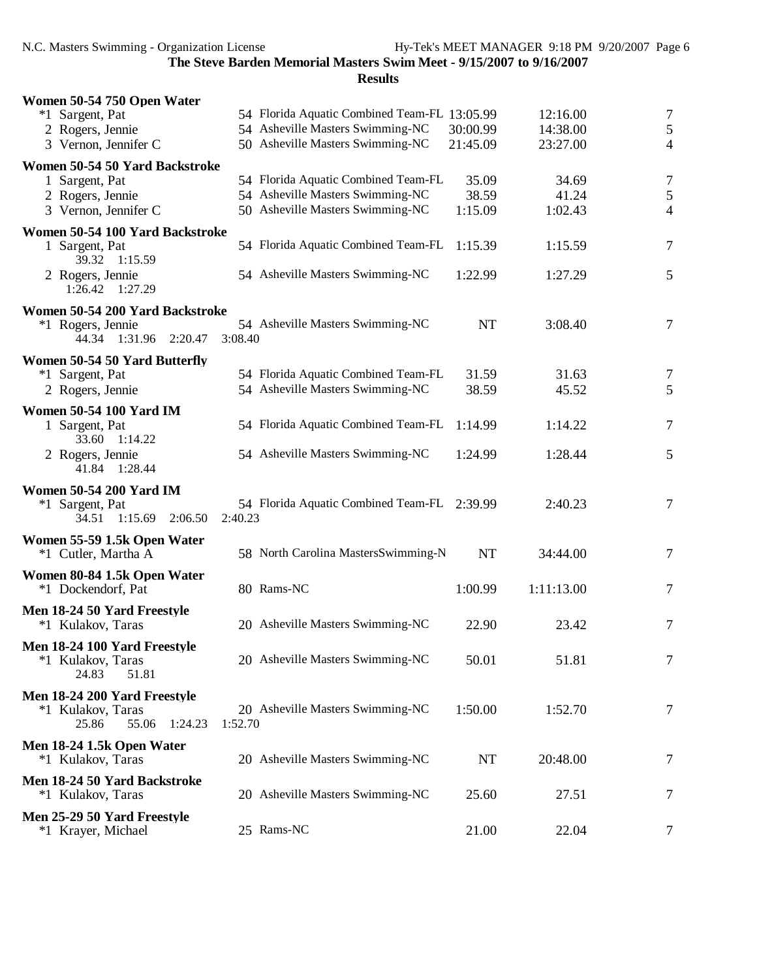| Women 50-54 750 Open Water      |         |                                              |           |            |                |
|---------------------------------|---------|----------------------------------------------|-----------|------------|----------------|
| *1 Sargent, Pat                 |         | 54 Florida Aquatic Combined Team-FL 13:05.99 |           | 12:16.00   | $\tau$         |
| 2 Rogers, Jennie                |         | 54 Asheville Masters Swimming-NC             | 30:00.99  | 14:38.00   | $\sqrt{5}$     |
| 3 Vernon, Jennifer C            |         | 50 Asheville Masters Swimming-NC             | 21:45.09  | 23:27.00   | $\overline{4}$ |
| Women 50-54 50 Yard Backstroke  |         |                                              |           |            |                |
| 1 Sargent, Pat                  |         | 54 Florida Aquatic Combined Team-FL          | 35.09     | 34.69      | $\overline{7}$ |
| 2 Rogers, Jennie                |         | 54 Asheville Masters Swimming-NC             | 38.59     | 41.24      | $\mathfrak s$  |
| 3 Vernon, Jennifer C            |         | 50 Asheville Masters Swimming-NC             | 1:15.09   | 1:02.43    | $\overline{4}$ |
|                                 |         |                                              |           |            |                |
| Women 50-54 100 Yard Backstroke |         |                                              |           |            |                |
| 1 Sargent, Pat                  |         | 54 Florida Aquatic Combined Team-FL          | 1:15.39   | 1:15.59    | 7              |
| 39.32 1:15.59                   |         |                                              |           |            |                |
| 2 Rogers, Jennie                |         | 54 Asheville Masters Swimming-NC             | 1:22.99   | 1:27.29    | 5              |
| 1:26.42 1:27.29                 |         |                                              |           |            |                |
| Women 50-54 200 Yard Backstroke |         |                                              |           |            |                |
| *1 Rogers, Jennie               |         | 54 Asheville Masters Swimming-NC             | <b>NT</b> | 3:08.40    | $\tau$         |
| 44.34 1:31.96 2:20.47           | 3:08.40 |                                              |           |            |                |
| Women 50-54 50 Yard Butterfly   |         |                                              |           |            |                |
| *1 Sargent, Pat                 |         | 54 Florida Aquatic Combined Team-FL          | 31.59     | 31.63      | 7              |
| 2 Rogers, Jennie                |         | 54 Asheville Masters Swimming-NC             | 38.59     | 45.52      | 5              |
|                                 |         |                                              |           |            |                |
| <b>Women 50-54 100 Yard IM</b>  |         |                                              |           |            |                |
| 1 Sargent, Pat                  |         | 54 Florida Aquatic Combined Team-FL          | 1:14.99   | 1:14.22    | 7              |
| 1:14.22<br>33.60                |         |                                              |           |            |                |
| 2 Rogers, Jennie                |         | 54 Asheville Masters Swimming-NC             | 1:24.99   | 1:28.44    | 5              |
| 41.84 1:28.44                   |         |                                              |           |            |                |
| <b>Women 50-54 200 Yard IM</b>  |         |                                              |           |            |                |
| *1 Sargent, Pat                 |         | 54 Florida Aquatic Combined Team-FL 2:39.99  |           | 2:40.23    | $\tau$         |
| 34.51 1:15.69<br>2:06.50        | 2:40.23 |                                              |           |            |                |
| Women 55-59 1.5k Open Water     |         |                                              |           |            |                |
| *1 Cutler, Martha A             |         | 58 North Carolina MastersSwimming-N          | NT        | 34:44.00   | $\tau$         |
|                                 |         |                                              |           |            |                |
| Women 80-84 1.5k Open Water     |         |                                              |           |            |                |
| *1 Dockendorf, Pat              |         | 80 Rams-NC                                   | 1:00.99   | 1:11:13.00 | $\tau$         |
| Men 18-24 50 Yard Freestyle     |         |                                              |           |            |                |
| *1 Kulakov, Taras               |         | 20 Asheville Masters Swimming-NC             | 22.90     | 23.42      | 7              |
| Men 18-24 100 Yard Freestyle    |         |                                              |           |            |                |
| *1 Kulakov, Taras               |         | 20 Asheville Masters Swimming-NC             | 50.01     | 51.81      | 7              |
| 24.83<br>51.81                  |         |                                              |           |            |                |
|                                 |         |                                              |           |            |                |
| Men 18-24 200 Yard Freestyle    |         |                                              |           |            |                |
| *1 Kulakov, Taras               |         | 20 Asheville Masters Swimming-NC             | 1:50.00   | 1:52.70    | $\tau$         |
| 25.86<br>55.06<br>1:24.23       | 1:52.70 |                                              |           |            |                |
| Men 18-24 1.5k Open Water       |         |                                              |           |            |                |
| *1 Kulakov, Taras               |         | 20 Asheville Masters Swimming-NC             | NT        | 20:48.00   | 7              |
| Men 18-24 50 Yard Backstroke    |         |                                              |           |            |                |
| *1 Kulakov, Taras               |         | 20 Asheville Masters Swimming-NC             | 25.60     | 27.51      | 7              |
|                                 |         |                                              |           |            |                |
| Men 25-29 50 Yard Freestyle     |         |                                              |           |            |                |
| *1 Krayer, Michael              |         | 25 Rams-NC                                   | 21.00     | 22.04      | 7              |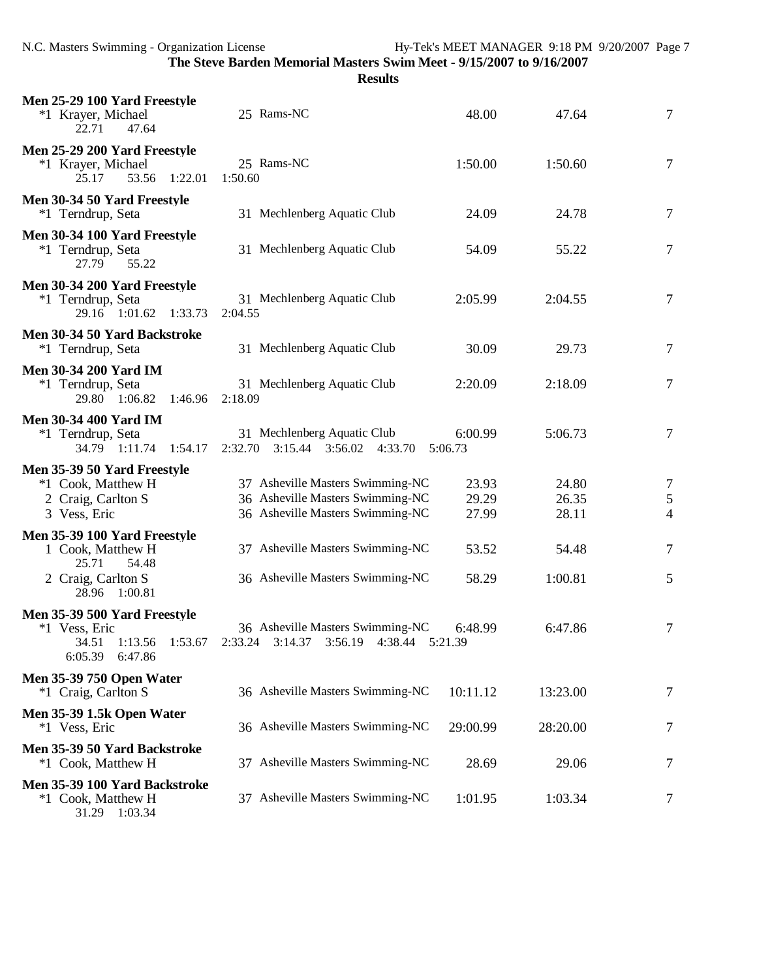| Men 25-29 100 Yard Freestyle<br>*1 Krayer, Michael<br>22.71<br>47.64                         | 25 Rams-NC                                                                                               | 48.00                   | 47.64                   | $\tau$                            |
|----------------------------------------------------------------------------------------------|----------------------------------------------------------------------------------------------------------|-------------------------|-------------------------|-----------------------------------|
| Men 25-29 200 Yard Freestyle<br>*1 Krayer, Michael<br>53.56 1:22.01<br>25.17                 | 25 Rams-NC<br>1:50.60                                                                                    | 1:50.00                 | 1:50.60                 | $\tau$                            |
| Men 30-34 50 Yard Freestyle<br>*1 Terndrup, Seta                                             | 31 Mechlenberg Aquatic Club                                                                              | 24.09                   | 24.78                   | $\tau$                            |
| Men 30-34 100 Yard Freestyle<br>*1 Terndrup, Seta<br>55.22<br>27.79                          | 31 Mechlenberg Aquatic Club                                                                              | 54.09                   | 55.22                   | $\tau$                            |
| Men 30-34 200 Yard Freestyle<br>*1 Terndrup, Seta<br>29.16 1:01.62 1:33.73                   | 31 Mechlenberg Aquatic Club<br>2:04.55                                                                   | 2:05.99                 | 2:04.55                 | $\tau$                            |
| Men 30-34 50 Yard Backstroke<br>*1 Terndrup, Seta                                            | 31 Mechlenberg Aquatic Club                                                                              | 30.09                   | 29.73                   | $\tau$                            |
| <b>Men 30-34 200 Yard IM</b><br>*1 Terndrup, Seta<br>29.80 1:06.82<br>1:46.96                | 31 Mechlenberg Aquatic Club<br>2:18.09                                                                   | 2:20.09                 | 2:18.09                 | $\overline{7}$                    |
| <b>Men 30-34 400 Yard IM</b><br>*1 Terndrup, Seta<br>34.79 1:11.74 1:54.17                   | 31 Mechlenberg Aquatic Club<br>2:32.70  3:15.44  3:56.02  4:33.70                                        | 6:00.99<br>5:06.73      | 5:06.73                 | 7                                 |
| Men 35-39 50 Yard Freestyle<br>*1 Cook, Matthew H<br>2 Craig, Carlton S<br>3 Vess, Eric      | 37 Asheville Masters Swimming-NC<br>36 Asheville Masters Swimming-NC<br>36 Asheville Masters Swimming-NC | 23.93<br>29.29<br>27.99 | 24.80<br>26.35<br>28.11 | 7<br>$\sqrt{5}$<br>$\overline{4}$ |
| Men 35-39 100 Yard Freestyle<br>1 Cook, Matthew H<br>25.71<br>54.48                          | 37 Asheville Masters Swimming-NC                                                                         | 53.52                   | 54.48                   | $\tau$                            |
| 2 Craig, Carlton S<br>28.96 1:00.81                                                          | 36 Asheville Masters Swimming-NC                                                                         | 58.29                   | 1:00.81                 | 5                                 |
| Men 35-39 500 Yard Freestyle<br>*1 Vess, Eric<br>34.51<br>1:13.56 1:53.67<br>6:05.39 6:47.86 | 36 Asheville Masters Swimming-NC<br>2:33.24<br>3:14.37<br>3:56.19<br>4:38.44                             | 6:48.99<br>5:21.39      | 6:47.86                 | 7                                 |
| <b>Men 35-39 750 Open Water</b><br>*1 Craig, Carlton S                                       | 36 Asheville Masters Swimming-NC                                                                         | 10:11.12                | 13:23.00                | 7                                 |
| Men 35-39 1.5k Open Water<br>*1 Vess, Eric                                                   | 36 Asheville Masters Swimming-NC                                                                         | 29:00.99                | 28:20.00                | 7                                 |
| Men 35-39 50 Yard Backstroke<br>*1 Cook, Matthew H                                           | 37 Asheville Masters Swimming-NC                                                                         | 28.69                   | 29.06                   | 7                                 |
| Men 35-39 100 Yard Backstroke<br>*1 Cook, Matthew H<br>31.29 1:03.34                         | 37 Asheville Masters Swimming-NC                                                                         | 1:01.95                 | 1:03.34                 | 7                                 |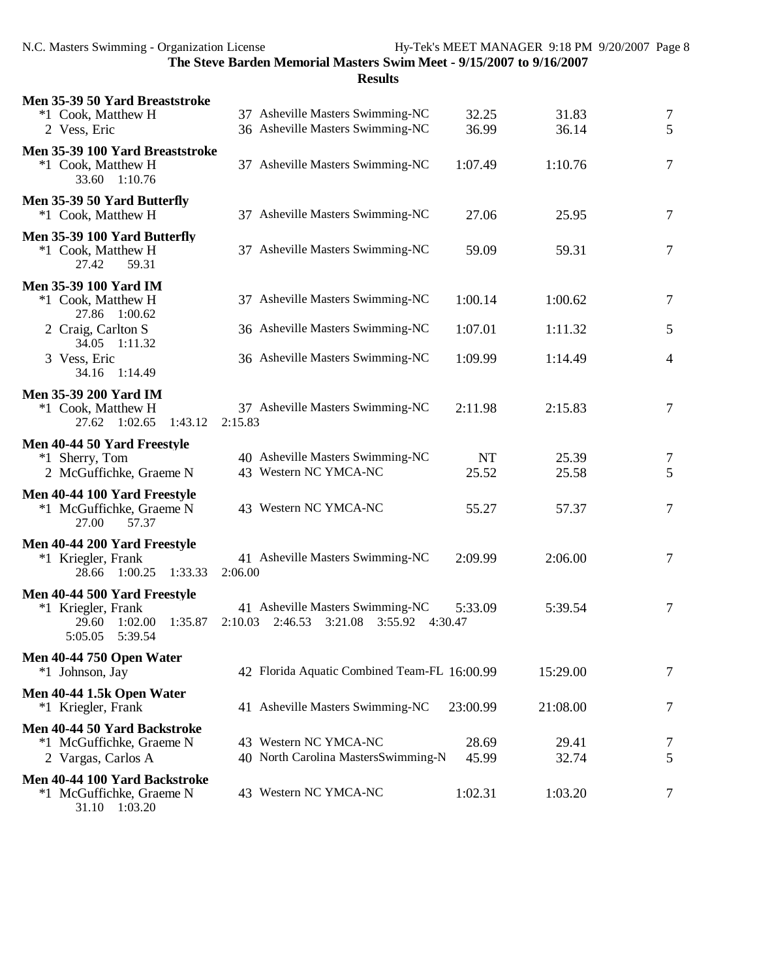| Men 35-39 50 Yard Breaststroke                                                                          |                                                                                         |                |                |                |
|---------------------------------------------------------------------------------------------------------|-----------------------------------------------------------------------------------------|----------------|----------------|----------------|
| *1 Cook, Matthew H<br>2 Vess, Eric                                                                      | 37 Asheville Masters Swimming-NC<br>36 Asheville Masters Swimming-NC                    | 32.25<br>36.99 | 31.83<br>36.14 | $\tau$<br>5    |
| Men 35-39 100 Yard Breaststroke<br>*1 Cook, Matthew H<br>33.60 1:10.76                                  | 37 Asheville Masters Swimming-NC                                                        | 1:07.49        | 1:10.76        | 7              |
| Men 35-39 50 Yard Butterfly<br>*1 Cook, Matthew H                                                       | 37 Asheville Masters Swimming-NC                                                        | 27.06          | 25.95          | $\overline{7}$ |
| Men 35-39 100 Yard Butterfly<br>*1 Cook, Matthew H<br>59.31<br>27.42                                    | 37 Asheville Masters Swimming-NC                                                        | 59.09          | 59.31          | 7              |
| <b>Men 35-39 100 Yard IM</b><br>*1 Cook, Matthew H                                                      | 37 Asheville Masters Swimming-NC                                                        | 1:00.14        | 1:00.62        | $\overline{7}$ |
| 27.86 1:00.62<br>2 Craig, Carlton S                                                                     | 36 Asheville Masters Swimming-NC                                                        | 1:07.01        | 1:11.32        | 5              |
| 34.05 1:11.32<br>3 Vess, Eric<br>34.16 1:14.49                                                          | 36 Asheville Masters Swimming-NC                                                        | 1:09.99        | 1:14.49        | $\overline{4}$ |
| <b>Men 35-39 200 Yard IM</b><br>*1 Cook, Matthew H<br>27.62 1:02.65<br>1:43.12                          | 37 Asheville Masters Swimming-NC<br>2:15.83                                             | 2:11.98        | 2:15.83        | 7              |
| Men 40-44 50 Yard Freestyle<br>*1 Sherry, Tom                                                           | 40 Asheville Masters Swimming-NC                                                        | <b>NT</b>      | 25.39          | 7              |
| 2 McGuffichke, Graeme N                                                                                 | 43 Western NC YMCA-NC                                                                   | 25.52          | 25.58          | 5              |
| Men 40-44 100 Yard Freestyle<br>*1 McGuffichke, Graeme N<br>27.00<br>57.37                              | 43 Western NC YMCA-NC                                                                   | 55.27          | 57.37          | $\tau$         |
| Men 40-44 200 Yard Freestyle<br>*1 Kriegler, Frank<br>28.66 1:00.25<br>1:33.33                          | 41 Asheville Masters Swimming-NC<br>2:06.00                                             | 2:09.99        | 2:06.00        | $\overline{7}$ |
| Men 40-44 500 Yard Freestyle<br>*1 Kriegler, Frank<br>1:02.00<br>1:35.87<br>29.60<br>5:05.05<br>5:39.54 | 41 Asheville Masters Swimming-NC<br>2:10.03<br>2:46.53<br>3:21.08<br>3:55.92<br>4:30.47 | 5:33.09        | 5:39.54        | $\overline{7}$ |
| <b>Men 40-44 750 Open Water</b><br>*1 Johnson, Jay                                                      | 42 Florida Aquatic Combined Team-FL 16:00.99                                            |                | 15:29.00       | 7              |
| Men 40-44 1.5k Open Water<br>*1 Kriegler, Frank                                                         | 41 Asheville Masters Swimming-NC                                                        | 23:00.99       | 21:08.00       | 7              |
| Men 40-44 50 Yard Backstroke<br>*1 McGuffichke, Graeme N<br>2 Vargas, Carlos A                          | 43 Western NC YMCA-NC<br>40 North Carolina MastersSwimming-N                            | 28.69<br>45.99 | 29.41<br>32.74 | 7<br>5         |
| Men 40-44 100 Yard Backstroke<br>*1 McGuffichke, Graeme N<br>31.10 1:03.20                              | 43 Western NC YMCA-NC                                                                   | 1:02.31        | 1:03.20        | 7              |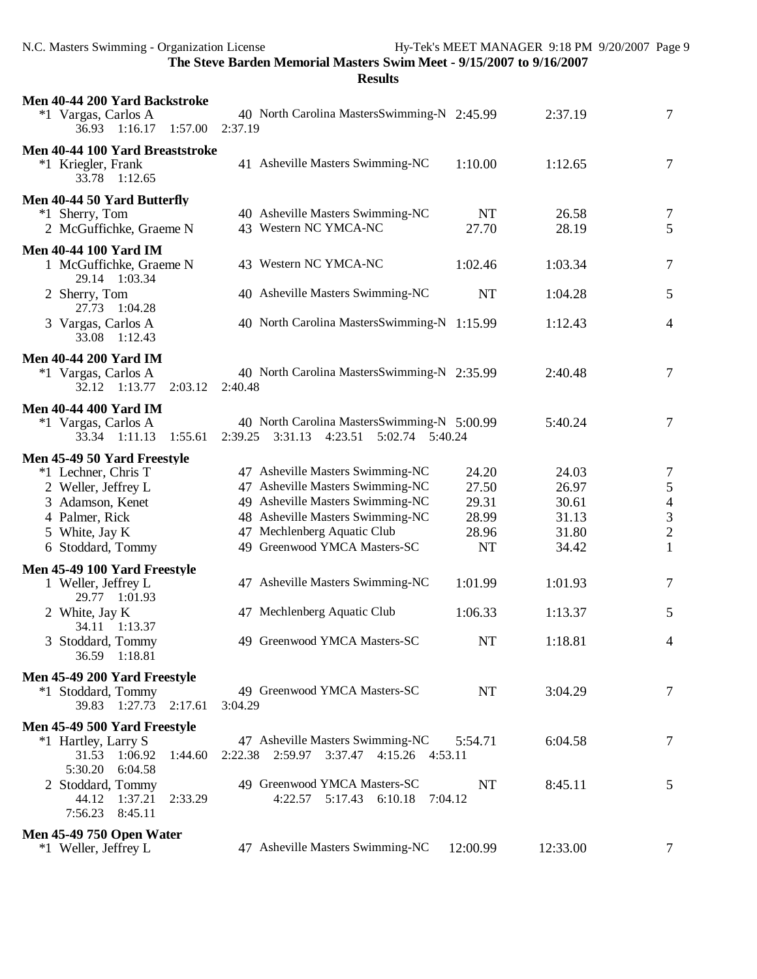| Men 40-44 200 Yard Backstroke<br>*1 Vargas, Carlos A<br>36.93 1:16.17 1:57.00                                                                          | 40 North Carolina MastersSwimming-N 2:45.99<br>2:37.19                                                                                                                                                      |                                                        | 2:37.19                                            | $\tau$                                                                             |
|--------------------------------------------------------------------------------------------------------------------------------------------------------|-------------------------------------------------------------------------------------------------------------------------------------------------------------------------------------------------------------|--------------------------------------------------------|----------------------------------------------------|------------------------------------------------------------------------------------|
| Men 40-44 100 Yard Breaststroke<br>*1 Kriegler, Frank<br>33.78 1:12.65                                                                                 | 41 Asheville Masters Swimming-NC                                                                                                                                                                            | 1:10.00                                                | 1:12.65                                            | 7                                                                                  |
| Men 40-44 50 Yard Butterfly<br>*1 Sherry, Tom<br>2 McGuffichke, Graeme N                                                                               | 40 Asheville Masters Swimming-NC<br>43 Western NC YMCA-NC                                                                                                                                                   | <b>NT</b><br>27.70                                     | 26.58<br>28.19                                     | 7<br>5                                                                             |
| <b>Men 40-44 100 Yard IM</b><br>1 McGuffichke, Graeme N<br>29.14 1:03.34                                                                               | 43 Western NC YMCA-NC                                                                                                                                                                                       | 1:02.46                                                | 1:03.34                                            | 7                                                                                  |
| 2 Sherry, Tom<br>27.73<br>1:04.28                                                                                                                      | 40 Asheville Masters Swimming-NC                                                                                                                                                                            | <b>NT</b>                                              | 1:04.28                                            | 5                                                                                  |
| 3 Vargas, Carlos A<br>33.08 1:12.43                                                                                                                    | 40 North Carolina MastersSwimming-N 1:15.99                                                                                                                                                                 |                                                        | 1:12.43                                            | $\overline{4}$                                                                     |
| <b>Men 40-44 200 Yard IM</b><br>*1 Vargas, Carlos A<br>32.12 1:13.77<br>2:03.12                                                                        | 40 North Carolina MastersSwimming-N 2:35.99<br>2:40.48                                                                                                                                                      |                                                        | 2:40.48                                            | 7                                                                                  |
| <b>Men 40-44 400 Yard IM</b><br>*1 Vargas, Carlos A<br>33.34 1:11.13 1:55.61                                                                           | 40 North Carolina MastersSwimming-N 5:00.99<br>2:39.25 3:31.13 4:23.51 5:02.74 5:40.24                                                                                                                      |                                                        | 5:40.24                                            | 7                                                                                  |
| Men 45-49 50 Yard Freestyle<br>*1 Lechner, Chris T<br>2 Weller, Jeffrey L<br>3 Adamson, Kenet<br>4 Palmer, Rick<br>5 White, Jay K<br>6 Stoddard, Tommy | 47 Asheville Masters Swimming-NC<br>47 Asheville Masters Swimming-NC<br>49 Asheville Masters Swimming-NC<br>48 Asheville Masters Swimming-NC<br>47 Mechlenberg Aquatic Club<br>49 Greenwood YMCA Masters-SC | 24.20<br>27.50<br>29.31<br>28.99<br>28.96<br><b>NT</b> | 24.03<br>26.97<br>30.61<br>31.13<br>31.80<br>34.42 | $\tau$<br>$\sqrt{5}$<br>$\begin{array}{c} 4 \\ 3 \\ 2 \end{array}$<br>$\mathbf{1}$ |
| Men 45-49 100 Yard Freestyle<br>1 Weller, Jeffrey L                                                                                                    | 47 Asheville Masters Swimming-NC                                                                                                                                                                            | 1:01.99                                                | 1:01.93                                            | 7                                                                                  |
| 29.77 1:01.93<br>2 White, Jay K                                                                                                                        | 47 Mechlenberg Aquatic Club                                                                                                                                                                                 | 1:06.33                                                | 1:13.37                                            | 5                                                                                  |
| 34.11 1:13.37<br>3 Stoddard, Tommy<br>36.59 1:18.81                                                                                                    | 49 Greenwood YMCA Masters-SC                                                                                                                                                                                | $\rm{NT}$                                              | 1:18.81                                            | $\overline{4}$                                                                     |
| Men 45-49 200 Yard Freestyle<br>*1 Stoddard, Tommy<br>39.83 1:27.73<br>2:17.61                                                                         | 49 Greenwood YMCA Masters-SC<br>3:04.29                                                                                                                                                                     | <b>NT</b>                                              | 3:04.29                                            | 7                                                                                  |
| Men 45-49 500 Yard Freestyle                                                                                                                           |                                                                                                                                                                                                             |                                                        |                                                    |                                                                                    |
| *1 Hartley, Larry S<br>31.53 1:06.92<br>1:44.60<br>5:30.20<br>6:04.58                                                                                  | 47 Asheville Masters Swimming-NC<br>2:22.38 2:59.97 3:37.47 4:15.26 4:53.11                                                                                                                                 | 5:54.71                                                | 6:04.58                                            | 7                                                                                  |
| 2 Stoddard, Tommy<br>44.12<br>1:37.21<br>2:33.29<br>7:56.23<br>8:45.11                                                                                 | 49 Greenwood YMCA Masters-SC<br>4:22.57<br>5:17.43 6:10.18                                                                                                                                                  | NT<br>7:04.12                                          | 8:45.11                                            | 5                                                                                  |
| <b>Men 45-49 750 Open Water</b>                                                                                                                        |                                                                                                                                                                                                             |                                                        |                                                    |                                                                                    |
| *1 Weller, Jeffrey L                                                                                                                                   | 47 Asheville Masters Swimming-NC                                                                                                                                                                            | 12:00.99                                               | 12:33.00                                           | 7                                                                                  |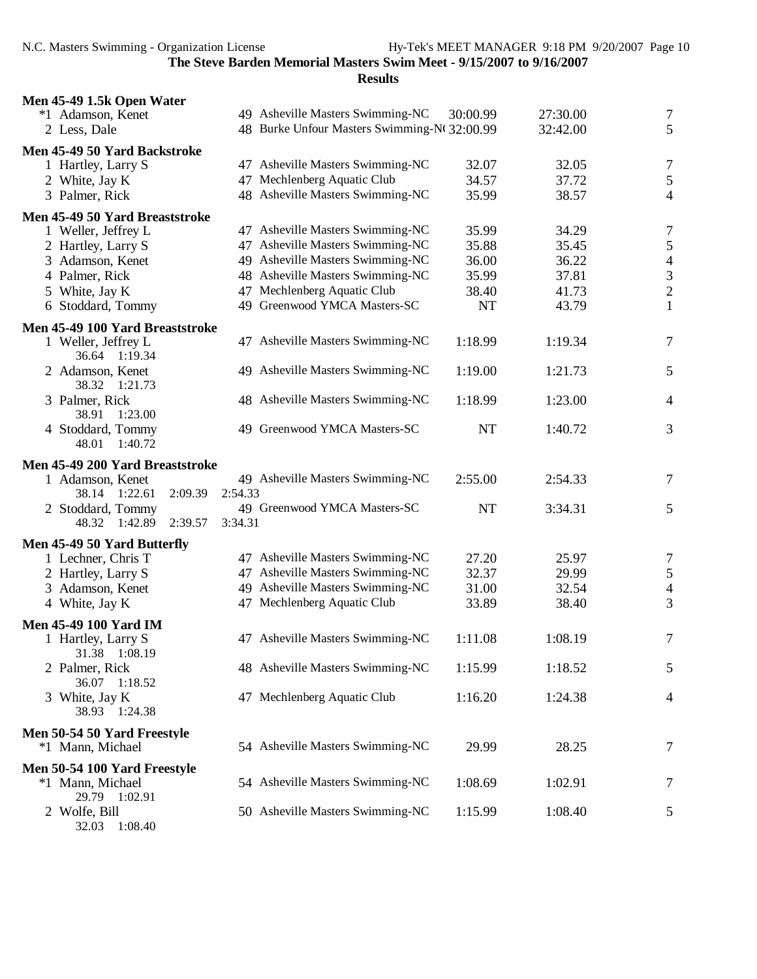**Results**

| Men 45-49 1.5k Open Water                          |         |                                              |           |          |                                            |
|----------------------------------------------------|---------|----------------------------------------------|-----------|----------|--------------------------------------------|
| *1 Adamson, Kenet                                  |         | 49 Asheville Masters Swimming-NC             | 30:00.99  | 27:30.00 | $\overline{7}$                             |
| 2 Less, Dale                                       |         | 48 Burke Unfour Masters Swimming-Nt 32:00.99 |           | 32:42.00 | 5                                          |
| Men 45-49 50 Yard Backstroke                       |         |                                              |           |          |                                            |
| 1 Hartley, Larry S                                 |         | 47 Asheville Masters Swimming-NC             | 32.07     | 32.05    | $\tau$                                     |
| 2 White, Jay K                                     |         | 47 Mechlenberg Aquatic Club                  | 34.57     | 37.72    | 5                                          |
| 3 Palmer, Rick                                     |         | 48 Asheville Masters Swimming-NC             | 35.99     | 38.57    | $\overline{4}$                             |
| Men 45-49 50 Yard Breaststroke                     |         |                                              |           |          |                                            |
| 1 Weller, Jeffrey L                                |         | 47 Asheville Masters Swimming-NC             | 35.99     | 34.29    | $\overline{7}$                             |
| 2 Hartley, Larry S                                 |         | 47 Asheville Masters Swimming-NC             | 35.88     | 35.45    | $\sqrt{5}$                                 |
| 3 Adamson, Kenet                                   |         | 49 Asheville Masters Swimming-NC             | 36.00     | 36.22    |                                            |
| 4 Palmer, Rick                                     |         | 48 Asheville Masters Swimming-NC             | 35.99     | 37.81    | $\begin{array}{c} 4 \\ 3 \\ 2 \end{array}$ |
| 5 White, Jay K                                     |         | 47 Mechlenberg Aquatic Club                  | 38.40     | 41.73    |                                            |
| 6 Stoddard, Tommy                                  |         | 49 Greenwood YMCA Masters-SC                 | <b>NT</b> | 43.79    | $\mathbf 1$                                |
| Men 45-49 100 Yard Breaststroke                    |         |                                              |           |          |                                            |
| 1 Weller, Jeffrey L<br>36.64 1:19.34               |         | 47 Asheville Masters Swimming-NC             | 1:18.99   | 1:19.34  | $\tau$                                     |
| 2 Adamson, Kenet<br>38.32 1:21.73                  |         | 49 Asheville Masters Swimming-NC             | 1:19.00   | 1:21.73  | 5                                          |
| 3 Palmer, Rick<br>38.91<br>1:23.00                 |         | 48 Asheville Masters Swimming-NC             | 1:18.99   | 1:23.00  | $\overline{4}$                             |
| 4 Stoddard, Tommy<br>1:40.72<br>48.01              |         | 49 Greenwood YMCA Masters-SC                 | <b>NT</b> | 1:40.72  | 3                                          |
|                                                    |         |                                              |           |          |                                            |
| Men 45-49 200 Yard Breaststroke                    |         |                                              |           |          |                                            |
| 1 Adamson, Kenet<br>2:09.39<br>38.14 1:22.61       | 2:54.33 | 49 Asheville Masters Swimming-NC             | 2:55.00   | 2:54.33  | 7                                          |
| 2 Stoddard, Tommy                                  |         | 49 Greenwood YMCA Masters-SC                 | <b>NT</b> | 3:34.31  | 5                                          |
| 48.32 1:42.89<br>2:39.57                           | 3:34.31 |                                              |           |          |                                            |
|                                                    |         |                                              |           |          |                                            |
| Men 45-49 50 Yard Butterfly<br>1 Lechner, Chris T  |         | 47 Asheville Masters Swimming-NC             | 27.20     | 25.97    | $\overline{7}$                             |
| 2 Hartley, Larry S                                 |         | 47 Asheville Masters Swimming-NC             | 32.37     | 29.99    |                                            |
| 3 Adamson, Kenet                                   |         | 49 Asheville Masters Swimming-NC             | 31.00     | 32.54    | $\sqrt{5}$<br>$\overline{4}$               |
| 4 White, Jay K                                     |         | 47 Mechlenberg Aquatic Club                  | 33.89     | 38.40    | $\mathfrak{Z}$                             |
|                                                    |         |                                              |           |          |                                            |
| <b>Men 45-49 100 Yard IM</b><br>1 Hartley, Larry S |         | 47 Asheville Masters Swimming-NC             | 1:11.08   | 1:08.19  | $\tau$                                     |
| 31.38 1:08.19<br>2 Palmer, Rick                    |         | 48 Asheville Masters Swimming-NC             | 1:15.99   | 1:18.52  | 5                                          |
| 36.07 1:18.52<br>3 White, Jay K<br>38.93 1:24.38   |         | 47 Mechlenberg Aquatic Club                  | 1:16.20   | 1:24.38  | $\overline{4}$                             |
|                                                    |         |                                              |           |          |                                            |
| Men 50-54 50 Yard Freestyle<br>*1 Mann, Michael    |         | 54 Asheville Masters Swimming-NC             | 29.99     | 28.25    | 7                                          |
| Men 50-54 100 Yard Freestyle                       |         |                                              |           |          |                                            |
| *1 Mann, Michael<br>29.79 1:02.91                  |         | 54 Asheville Masters Swimming-NC             | 1:08.69   | 1:02.91  | 7                                          |
| 2 Wolfe, Bill                                      |         | 50 Asheville Masters Swimming-NC             | 1:15.99   | 1:08.40  | 5                                          |

32.03 1:08.40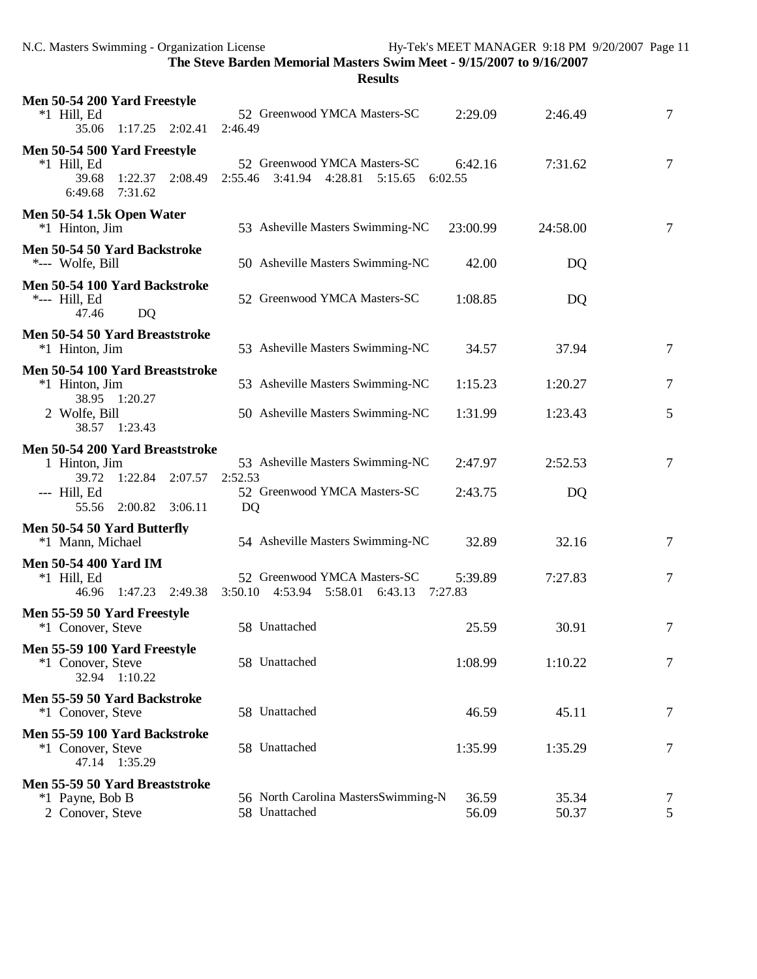N.C. Masters Swimming - Organization License Hy-Tek's MEET MANAGER 9:18 PM 9/20/2007 Page 11

**The Steve Barden Memorial Masters Swim Meet - 9/15/2007 to 9/16/2007**

| Men 50-54 200 Yard Freestyle<br>$*1$ Hill, Ed<br>35.06<br>$1:17.25$ $2:02.41$                      | 52 Greenwood YMCA Masters-SC<br>2:46.49                                             | 2:29.09        | 2:46.49        | 7              |
|----------------------------------------------------------------------------------------------------|-------------------------------------------------------------------------------------|----------------|----------------|----------------|
| Men 50-54 500 Yard Freestyle<br>$*1$ Hill, Ed<br>39.68<br>1:22.37<br>2:08.49<br>6:49.68<br>7:31.62 | 52 Greenwood YMCA Masters-SC<br>2:55.46<br>3:41.94<br>4:28.81<br>5:15.65<br>6:02.55 | 6:42.16        | 7:31.62        | $\tau$         |
| Men 50-54 1.5k Open Water<br>*1 Hinton, Jim                                                        | 53 Asheville Masters Swimming-NC                                                    | 23:00.99       | 24:58.00       | $\tau$         |
| Men 50-54 50 Yard Backstroke<br>*--- Wolfe, Bill                                                   | 50 Asheville Masters Swimming-NC                                                    | 42.00          | DQ             |                |
| Men 50-54 100 Yard Backstroke<br>*--- Hill, Ed<br>47.46<br>DQ                                      | 52 Greenwood YMCA Masters-SC                                                        | 1:08.85        | DQ             |                |
| Men 50-54 50 Yard Breaststroke<br>*1 Hinton, Jim                                                   | 53 Asheville Masters Swimming-NC                                                    | 34.57          | 37.94          | $\overline{7}$ |
| Men 50-54 100 Yard Breaststroke<br>*1 Hinton, Jim                                                  | 53 Asheville Masters Swimming-NC                                                    | 1:15.23        | 1:20.27        | $\tau$         |
| 38.95 1:20.27<br>2 Wolfe, Bill<br>38.57 1:23.43                                                    | 50 Asheville Masters Swimming-NC                                                    | 1:31.99        | 1:23.43        | 5              |
| Men 50-54 200 Yard Breaststroke                                                                    |                                                                                     |                |                |                |
| 1 Hinton, Jim<br>39.72<br>1:22.84 2:07.57                                                          | 53 Asheville Masters Swimming-NC<br>2:52.53                                         | 2:47.97        | 2:52.53        | $\overline{7}$ |
| --- Hill, Ed<br>55.56<br>2:00.82<br>3:06.11                                                        | 52 Greenwood YMCA Masters-SC<br>DQ                                                  | 2:43.75        | DQ             |                |
| Men 50-54 50 Yard Butterfly<br>*1 Mann, Michael                                                    | 54 Asheville Masters Swimming-NC                                                    | 32.89          | 32.16          | 7              |
| Men 50-54 400 Yard IM<br>$*1$ Hill, Ed<br>46.96<br>1:47.23 2:49.38                                 | 52 Greenwood YMCA Masters-SC<br>$3:50.10$ $4:53.94$ $5:58.01$<br>6:43.13<br>7:27.83 | 5:39.89        | 7:27.83        | $\tau$         |
| Men 55-59 50 Yard Freestyle<br>*1 Conover, Steve                                                   | 58 Unattached                                                                       | 25.59          | 30.91          | 7              |
| Men 55-59 100 Yard Freestyle<br>*1 Conover, Steve<br>32.94 1:10.22                                 | 58 Unattached                                                                       | 1:08.99        | 1:10.22        | 7              |
| Men 55-59 50 Yard Backstroke<br>*1 Conover, Steve                                                  | 58 Unattached                                                                       | 46.59          | 45.11          | 7              |
| Men 55-59 100 Yard Backstroke<br>*1 Conover, Steve<br>47.14 1:35.29                                | 58 Unattached                                                                       | 1:35.99        | 1:35.29        | 7              |
| Men 55-59 50 Yard Breaststroke                                                                     |                                                                                     |                |                |                |
| *1 Payne, Bob B<br>2 Conover, Steve                                                                | 56 North Carolina MastersSwimming-N<br>58 Unattached                                | 36.59<br>56.09 | 35.34<br>50.37 | 7<br>5         |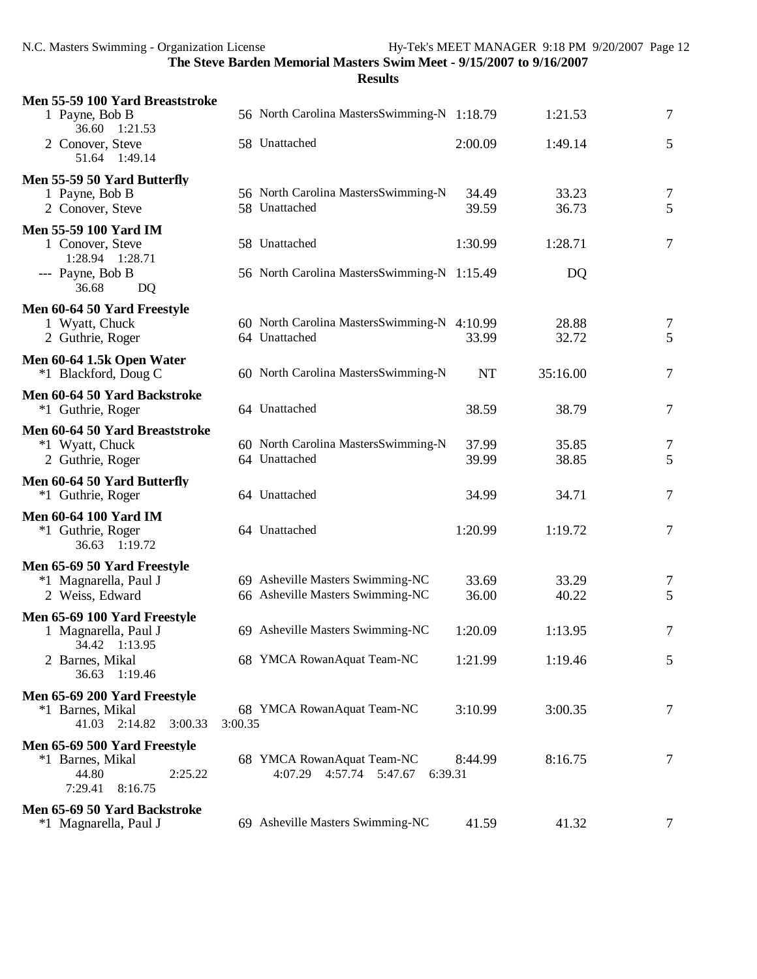| Men 55-59 100 Yard Breaststroke                                       |                                             |           |          |                |
|-----------------------------------------------------------------------|---------------------------------------------|-----------|----------|----------------|
| 1 Payne, Bob B<br>36.60 1:21.53                                       | 56 North Carolina MastersSwimming-N 1:18.79 |           | 1:21.53  | $\tau$         |
| 2 Conover, Steve<br>51.64 1:49.14                                     | 58 Unattached                               | 2:00.09   | 1:49.14  | 5              |
| Men 55-59 50 Yard Butterfly                                           |                                             |           |          |                |
| 1 Payne, Bob B                                                        | 56 North Carolina MastersSwimming-N         | 34.49     | 33.23    | $\overline{7}$ |
| 2 Conover, Steve                                                      | 58 Unattached                               | 39.59     | 36.73    | 5              |
| <b>Men 55-59 100 Yard IM</b><br>1 Conover, Steve<br>1:28.94  1:28.71  | 58 Unattached                               | 1:30.99   | 1:28.71  | 7              |
| --- Payne, Bob B<br>36.68<br>DQ                                       | 56 North Carolina MastersSwimming-N 1:15.49 |           | DQ       |                |
| Men 60-64 50 Yard Freestyle                                           |                                             |           |          |                |
| 1 Wyatt, Chuck                                                        | 60 North Carolina MastersSwimming-N 4:10.99 |           | 28.88    | 7              |
| 2 Guthrie, Roger                                                      | 64 Unattached                               | 33.99     | 32.72    | 5              |
| Men 60-64 1.5k Open Water                                             |                                             |           |          |                |
| *1 Blackford, Doug C                                                  | 60 North Carolina MastersSwimming-N         | <b>NT</b> | 35:16.00 | $\tau$         |
| Men 60-64 50 Yard Backstroke                                          |                                             |           |          |                |
| *1 Guthrie, Roger                                                     | 64 Unattached                               | 38.59     | 38.79    | $\tau$         |
| Men 60-64 50 Yard Breaststroke                                        |                                             |           |          |                |
| *1 Wyatt, Chuck                                                       | 60 North Carolina MastersSwimming-N         | 37.99     | 35.85    | $\overline{7}$ |
| 2 Guthrie, Roger                                                      | 64 Unattached                               | 39.99     | 38.85    | 5              |
| Men 60-64 50 Yard Butterfly                                           |                                             |           |          |                |
| *1 Guthrie, Roger                                                     | 64 Unattached                               | 34.99     | 34.71    | 7              |
| <b>Men 60-64 100 Yard IM</b>                                          |                                             |           |          |                |
| *1 Guthrie, Roger<br>36.63 1:19.72                                    | 64 Unattached                               | 1:20.99   | 1:19.72  | $\tau$         |
|                                                                       |                                             |           |          |                |
| Men 65-69 50 Yard Freestyle                                           | 69 Asheville Masters Swimming-NC            | 33.69     | 33.29    |                |
| *1 Magnarella, Paul J<br>2 Weiss, Edward                              | 66 Asheville Masters Swimming-NC            | 36.00     | 40.22    | 7<br>5         |
|                                                                       |                                             |           |          |                |
| Men 65-69 100 Yard Freestyle<br>1 Magnarella, Paul J<br>34.42 1:13.95 | 69 Asheville Masters Swimming-NC            | 1:20.09   | 1:13.95  | 7              |
| 2 Barnes, Mikal<br>36.63 1:19.46                                      | 68 YMCA RowanAquat Team-NC                  | 1:21.99   | 1:19.46  | 5              |
| Men 65-69 200 Yard Freestyle                                          |                                             |           |          |                |
| *1 Barnes, Mikal<br>41.03 2:14.82<br>3:00.33                          | 68 YMCA RowanAquat Team-NC<br>3:00.35       | 3:10.99   | 3:00.35  | $\overline{7}$ |
| Men 65-69 500 Yard Freestyle                                          |                                             |           |          |                |
| *1 Barnes, Mikal                                                      | 68 YMCA RowanAquat Team-NC                  | 8:44.99   | 8:16.75  | 7              |
| 44.80<br>2:25.22<br>7:29.41<br>8:16.75                                | 4:07.29 4:57.74 5:47.67                     | 6:39.31   |          |                |
|                                                                       |                                             |           |          |                |
| Men 65-69 50 Yard Backstroke                                          | 69 Asheville Masters Swimming-NC            | 41.59     | 41.32    | 7              |
| *1 Magnarella, Paul J                                                 |                                             |           |          |                |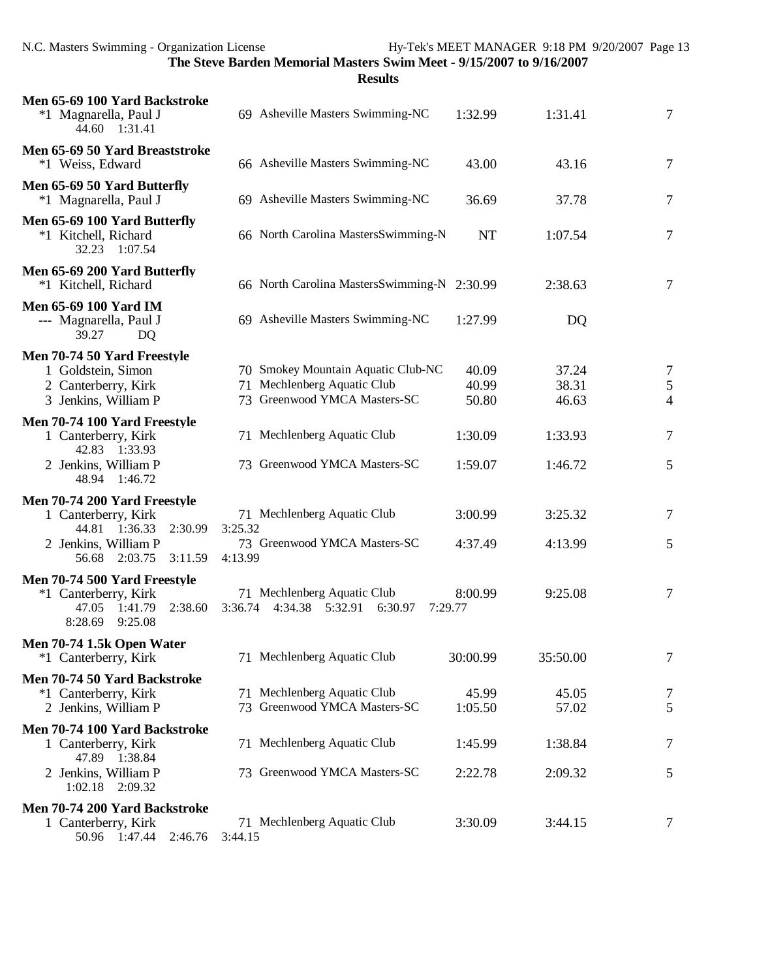| Men 65-69 100 Yard Backstroke<br>*1 Magnarella, Paul J                                                                              | 69 Asheville Masters Swimming-NC                                                                  | 1:32.99                 | 1:31.41                 | 7                                     |
|-------------------------------------------------------------------------------------------------------------------------------------|---------------------------------------------------------------------------------------------------|-------------------------|-------------------------|---------------------------------------|
| 44.60 1:31.41                                                                                                                       |                                                                                                   |                         |                         |                                       |
| Men 65-69 50 Yard Breaststroke<br>*1 Weiss, Edward                                                                                  | 66 Asheville Masters Swimming-NC                                                                  | 43.00                   | 43.16                   | $\tau$                                |
| Men 65-69 50 Yard Butterfly<br>*1 Magnarella, Paul J                                                                                | 69 Asheville Masters Swimming-NC                                                                  | 36.69                   | 37.78                   | 7                                     |
| Men 65-69 100 Yard Butterfly<br>*1 Kitchell, Richard<br>32.23 1:07.54                                                               | 66 North Carolina MastersSwimming-N                                                               | <b>NT</b>               | 1:07.54                 | 7                                     |
| Men 65-69 200 Yard Butterfly<br>*1 Kitchell, Richard                                                                                | 66 North Carolina MastersSwimming-N 2:30.99                                                       |                         | 2:38.63                 | 7                                     |
| <b>Men 65-69 100 Yard IM</b><br>--- Magnarella, Paul J<br>39.27<br>DQ                                                               | 69 Asheville Masters Swimming-NC                                                                  | 1:27.99                 | DQ                      |                                       |
| Men 70-74 50 Yard Freestyle<br>1 Goldstein, Simon<br>2 Canterberry, Kirk<br>3 Jenkins, William P                                    | 70 Smokey Mountain Aquatic Club-NC<br>71 Mechlenberg Aquatic Club<br>73 Greenwood YMCA Masters-SC | 40.09<br>40.99<br>50.80 | 37.24<br>38.31<br>46.63 | 7<br>$\mathfrak{S}$<br>$\overline{4}$ |
| Men 70-74 100 Yard Freestyle<br>1 Canterberry, Kirk<br>42.83 1:33.93<br>2 Jenkins, William P<br>48.94 1:46.72                       | 71 Mechlenberg Aquatic Club<br>73 Greenwood YMCA Masters-SC                                       | 1:30.09<br>1:59.07      | 1:33.93<br>1:46.72      | 7<br>5                                |
| Men 70-74 200 Yard Freestyle<br>1 Canterberry, Kirk<br>44.81 1:36.33<br>2:30.99<br>2 Jenkins, William P<br>56.68 2:03.75<br>3:11.59 | 71 Mechlenberg Aquatic Club<br>3:25.32<br>73 Greenwood YMCA Masters-SC<br>4:13.99                 | 3:00.99<br>4:37.49      | 3:25.32<br>4:13.99      | 7<br>5                                |
| Men 70-74 500 Yard Freestyle<br>*1 Canterberry, Kirk<br>47.05<br>1:41.79<br>2:38.60<br>8:28.69<br>9:25.08                           | 71 Mechlenberg Aquatic Club<br>4:34.38 5:32.91<br>6:30.97<br>3:36.74                              | 8:00.99<br>7:29.77      | 9:25.08                 | $\tau$                                |
| Men 70-74 1.5k Open Water<br>*1 Canterberry, Kirk                                                                                   | 71 Mechlenberg Aquatic Club                                                                       | 30:00.99                | 35:50.00                | 7                                     |
| Men 70-74 50 Yard Backstroke<br>*1 Canterberry, Kirk<br>2 Jenkins, William P                                                        | 71 Mechlenberg Aquatic Club<br>73 Greenwood YMCA Masters-SC                                       | 45.99<br>1:05.50        | 45.05<br>57.02          | 7<br>5                                |
| Men 70-74 100 Yard Backstroke<br>1 Canterberry, Kirk<br>47.89 1:38.84                                                               | 71 Mechlenberg Aquatic Club                                                                       | 1:45.99                 | 1:38.84                 | 7                                     |
| 2 Jenkins, William P<br>1:02.18 2:09.32                                                                                             | 73 Greenwood YMCA Masters-SC                                                                      | 2:22.78                 | 2:09.32                 | 5                                     |
| Men 70-74 200 Yard Backstroke<br>1 Canterberry, Kirk<br>50.96 1:47.44 2:46.76                                                       | 71 Mechlenberg Aquatic Club<br>3:44.15                                                            | 3:30.09                 | 3:44.15                 | 7                                     |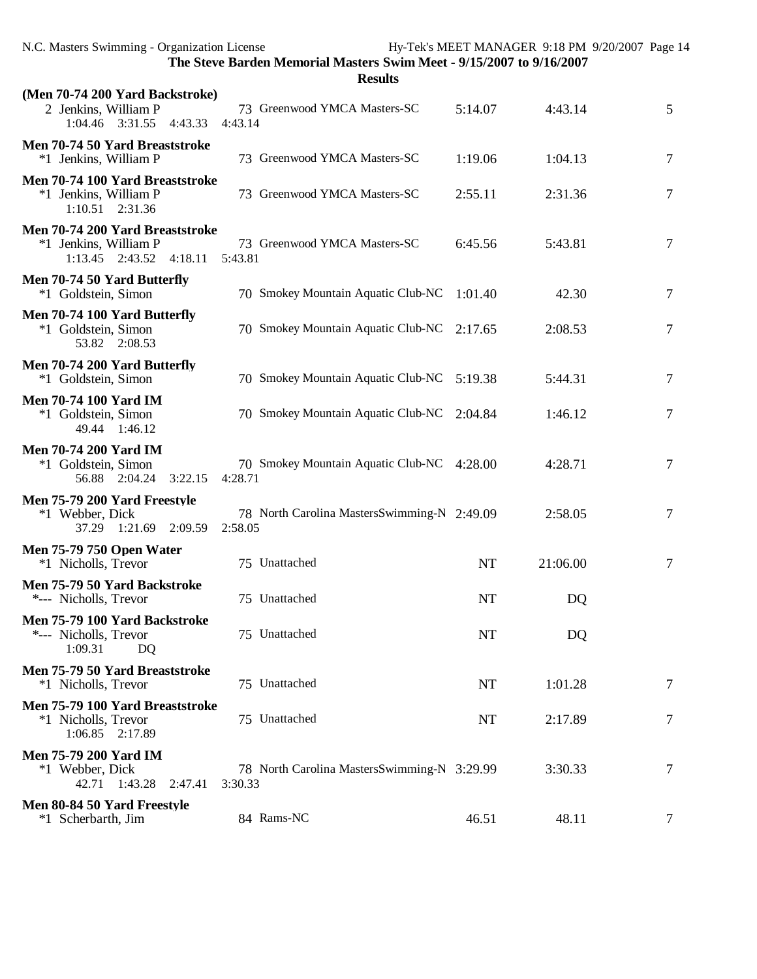| The Steve Barden Memorial Masters Swim Meet - 9/15/2007 to 9/16/2007<br><b>Results</b>     |         |                                             |           |          |                |
|--------------------------------------------------------------------------------------------|---------|---------------------------------------------|-----------|----------|----------------|
| (Men 70-74 200 Yard Backstroke)<br>2 Jenkins, William P                                    |         | 73 Greenwood YMCA Masters-SC                | 5:14.07   | 4:43.14  | 5              |
| 1:04.46 3:31.55<br>4:43.33                                                                 | 4:43.14 |                                             |           |          |                |
| Men 70-74 50 Yard Breaststroke<br>*1 Jenkins, William P                                    |         | 73 Greenwood YMCA Masters-SC                | 1:19.06   | 1:04.13  | 7              |
| Men 70-74 100 Yard Breaststroke<br>*1 Jenkins, William P<br>$1:10.51$ $2:31.36$            |         | 73 Greenwood YMCA Masters-SC                | 2:55.11   | 2:31.36  | 7              |
| Men 70-74 200 Yard Breaststroke<br>*1 Jenkins, William P<br>$1:13.45$ $2:43.52$<br>4:18.11 | 5:43.81 | 73 Greenwood YMCA Masters-SC                | 6:45.56   | 5:43.81  | 7              |
| Men 70-74 50 Yard Butterfly<br>*1 Goldstein, Simon                                         |         | 70 Smokey Mountain Aquatic Club-NC          | 1:01.40   | 42.30    | $\tau$         |
| Men 70-74 100 Yard Butterfly<br>*1 Goldstein, Simon<br>53.82 2:08.53                       |         | 70 Smokey Mountain Aquatic Club-NC          | 2:17.65   | 2:08.53  | $\tau$         |
| Men 70-74 200 Yard Butterfly<br>*1 Goldstein, Simon                                        |         | 70 Smokey Mountain Aquatic Club-NC 5:19.38  |           | 5:44.31  | 7              |
| <b>Men 70-74 100 Yard IM</b><br>*1 Goldstein, Simon<br>1:46.12<br>49.44                    |         | 70 Smokey Mountain Aquatic Club-NC          | 2:04.84   | 1:46.12  | 7              |
| <b>Men 70-74 200 Yard IM</b><br>*1 Goldstein, Simon<br>56.88 2:04.24<br>3:22.15            | 4:28.71 | 70 Smokey Mountain Aquatic Club-NC 4:28.00  |           | 4:28.71  | $\tau$         |
| Men 75-79 200 Yard Freestyle<br>*1 Webber, Dick<br>37.29 1:21.69 2:09.59                   | 2:58.05 | 78 North Carolina MastersSwimming-N 2:49.09 |           | 2:58.05  | $\overline{7}$ |
| <b>Men 75-79 750 Open Water</b><br>*1 Nicholls, Trevor                                     |         | 75 Unattached                               | <b>NT</b> | 21:06.00 | 7              |
| Men 75-79 50 Yard Backstroke<br>*--- Nicholls, Trevor                                      |         | 75 Unattached                               | NT        | DQ       |                |
| Men 75-79 100 Yard Backstroke<br>*--- Nicholls, Trevor<br>1:09.31<br>DQ                    |         | 75 Unattached                               | NT        | DQ       |                |
| Men 75-79 50 Yard Breaststroke<br>*1 Nicholls, Trevor                                      |         | 75 Unattached                               | NT        | 1:01.28  | 7              |
| Men 75-79 100 Yard Breaststroke<br>*1 Nicholls, Trevor<br>1:06.85 2:17.89                  |         | 75 Unattached                               | NT        | 2:17.89  | 7              |
| <b>Men 75-79 200 Yard IM</b><br>*1 Webber, Dick<br>42.71 1:43.28<br>2:47.41                | 3:30.33 | 78 North Carolina MastersSwimming-N 3:29.99 |           | 3:30.33  | 7              |
| Men 80-84 50 Yard Freestyle<br>*1 Scherbarth, Jim                                          |         | 84 Rams-NC                                  | 46.51     | 48.11    | 7              |

N.C. Masters Swimming - Organization License Hy-Tek's MEET MANAGER 9:18 PM 9/20/2007 Page 14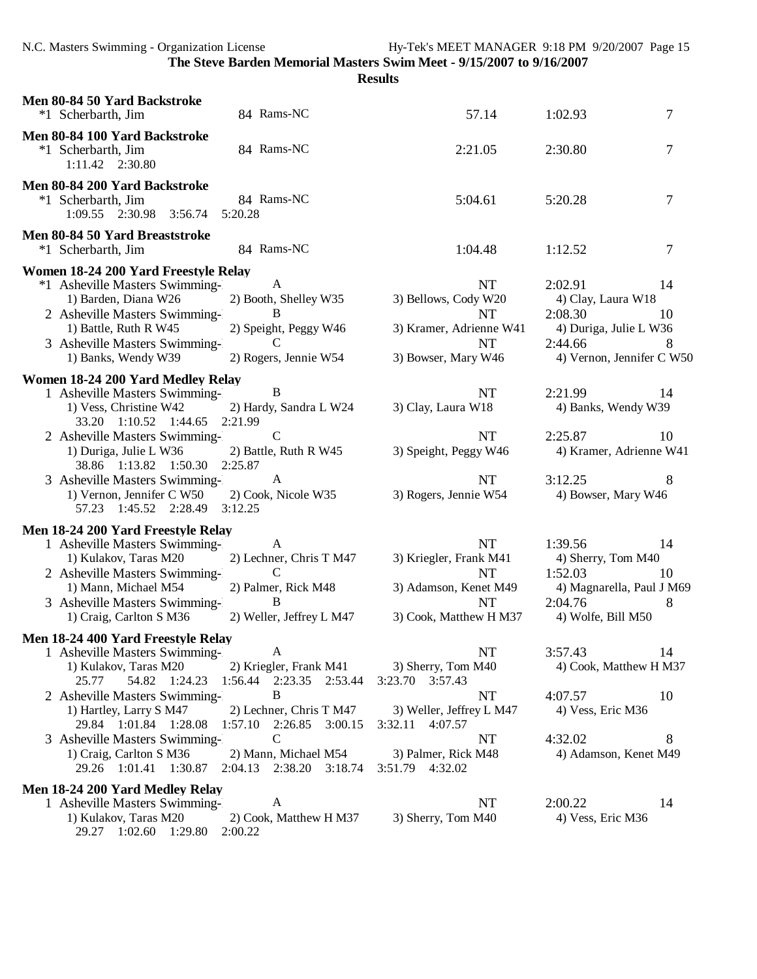| Men 80-84 50 Yard Backstroke<br>*1 Scherbarth, Jim                                                                                                                                                                | 84 Rams-NC                                                                                              | 57.14                                                                                                            | 7<br>1:02.93                                                                                                                |
|-------------------------------------------------------------------------------------------------------------------------------------------------------------------------------------------------------------------|---------------------------------------------------------------------------------------------------------|------------------------------------------------------------------------------------------------------------------|-----------------------------------------------------------------------------------------------------------------------------|
| Men 80-84 100 Yard Backstroke<br>*1 Scherbarth, Jim<br>1:11.42  2:30.80                                                                                                                                           | 84 Rams-NC                                                                                              | 2:21.05                                                                                                          | 7<br>2:30.80                                                                                                                |
| Men 80-84 200 Yard Backstroke<br>*1 Scherbarth, Jim<br>1:09.55 2:30.98 3:56.74                                                                                                                                    | 84 Rams-NC<br>5:20.28                                                                                   | 5:04.61                                                                                                          | 5:20.28<br>7                                                                                                                |
| Men 80-84 50 Yard Breaststroke<br>*1 Scherbarth, Jim                                                                                                                                                              | 84 Rams-NC                                                                                              | 1:04.48                                                                                                          | 7<br>1:12.52                                                                                                                |
| Women 18-24 200 Yard Freestyle Relay<br>*1 Asheville Masters Swimming-<br>1) Barden, Diana W26<br>2 Asheville Masters Swimming-<br>1) Battle, Ruth R W45<br>3 Asheville Masters Swimming-<br>1) Banks, Wendy W39  | A<br>2) Booth, Shelley W35<br>B<br>2) Speight, Peggy W46<br>$\mathcal{C}$<br>2) Rogers, Jennie W54      | <b>NT</b><br>3) Bellows, Cody W20<br><b>NT</b><br>3) Kramer, Adrienne W41<br><b>NT</b><br>3) Bowser, Mary W46    | 2:02.91<br>14<br>4) Clay, Laura W18<br>2:08.30<br>10<br>4) Duriga, Julie L W36<br>2:44.66<br>8<br>4) Vernon, Jennifer C W50 |
| Women 18-24 200 Yard Medley Relay<br>1 Asheville Masters Swimming-<br>1) Vess, Christine W42<br>33.20 1:10.52 1:44.65<br>2 Asheville Masters Swimming-<br>1) Duriga, Julie L W36                                  | $\mathbf{B}$<br>2) Hardy, Sandra L W24<br>2:21.99<br>$\mathsf{C}$<br>2) Battle, Ruth R W45              | <b>NT</b><br>3) Clay, Laura W18<br><b>NT</b><br>3) Speight, Peggy W46                                            | 2:21.99<br>14<br>4) Banks, Wendy W39<br>2:25.87<br>10<br>4) Kramer, Adrienne W41                                            |
| 38.86 1:13.82 1:50.30 2:25.87<br>3 Asheville Masters Swimming-<br>1) Vernon, Jennifer C W50<br>57.23 1:45.52 2:28.49                                                                                              | A<br>2) Cook, Nicole W35<br>3:12.25                                                                     | <b>NT</b><br>3) Rogers, Jennie W54                                                                               | 3:12.25<br>8<br>4) Bowser, Mary W46                                                                                         |
| Men 18-24 200 Yard Freestyle Relay<br>1 Asheville Masters Swimming-<br>1) Kulakov, Taras M20<br>2 Asheville Masters Swimming-<br>1) Mann, Michael M54<br>3 Asheville Masters Swimming-<br>1) Craig, Carlton S M36 | A<br>2) Lechner, Chris T M47<br>$\mathcal{C}$<br>2) Palmer, Rick M48<br>B<br>2) Weller, Jeffrey L M47   | <b>NT</b><br>3) Kriegler, Frank M41<br><b>NT</b><br>3) Adamson, Kenet M49<br><b>NT</b><br>3) Cook, Matthew H M37 | 1:39.56<br>14<br>4) Sherry, Tom M40<br>1:52.03<br>10<br>4) Magnarella, Paul J M69<br>2:04.76<br>8<br>4) Wolfe, Bill M50     |
| Men 18-24 400 Yard Freestyle Relay<br>1 Asheville Masters Swimming-<br>1) Kulakov, Taras M20<br>54.82 1:24.23<br>25.77                                                                                            | A<br>2) Kriegler, Frank M41<br>1:56.44 2:23.35 2:53.44                                                  | NT<br>3) Sherry, Tom M40<br>3:23.70 3:57.43                                                                      | 14<br>3:57.43<br>4) Cook, Matthew H M37                                                                                     |
| 2 Asheville Masters Swimming-<br>1) Hartley, Larry S M47<br>29.84 1:01.84 1:28.08<br>3 Asheville Masters Swimming-<br>1) Craig, Carlton S M36                                                                     | $\bf{B}$<br>2) Lechner, Chris T M47<br>1:57.10 2:26.85 3:00.15<br>$\mathcal{C}$<br>2) Mann, Michael M54 | NT<br>3) Weller, Jeffrey L M47<br>3:32.11 4:07.57<br>NT<br>3) Palmer, Rick M48                                   | 4:07.57<br>10<br>4) Vess, Eric M36<br>4:32.02<br>8<br>4) Adamson, Kenet M49                                                 |
| 29.26 1:01.41 1:30.87<br>Men 18-24 200 Yard Medley Relay<br>1 Asheville Masters Swimming-<br>1) Kulakov, Taras M20<br>29.27 1:02.60 1:29.80 2:00.22                                                               | 2:04.13 2:38.20 3:18.74<br>A<br>2) Cook, Matthew H M37                                                  | 3:51.79 4:32.02<br>NT<br>3) Sherry, Tom M40                                                                      | 2:00.22<br>14<br>4) Vess, Eric M36                                                                                          |